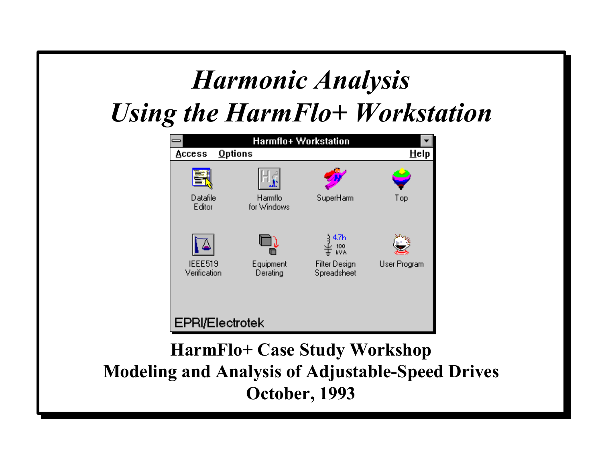## *Harmonic Analysis Using the HarmFlo+ Workstation*

|                          | Harmflo+ Workstation   |                                     |              |
|--------------------------|------------------------|-------------------------------------|--------------|
| <b>Options</b><br>Access |                        |                                     | Help         |
|                          |                        |                                     |              |
| Datafile<br>Editor       | Harmflo<br>for Windows | SuperHarm                           | Top          |
|                          |                        | 4.7h<br>100<br>kVA                  |              |
| IEEE519<br>Verification  | Equipment<br>Derating  | <b>Filter Design</b><br>Spreadsheet | User Program |
|                          |                        |                                     |              |
| <b>EPRI/Electrotek</b>   |                        |                                     |              |

#### **HarmFlo+ Case Study Workshop Modeling and Analysis of Adjustable-Speed Drives October, 1993**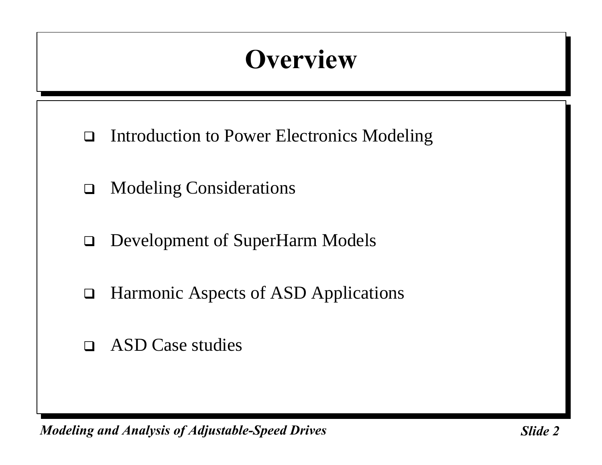# **Overview**

- $\Box$  Introduction to Power Electronics Modeling
- $\Box$  Modeling Considerations
- □ Development of SuperHarm Models
- $\Box$  Harmonic Aspects of ASD Applications
- $\Box$  ASD Case studies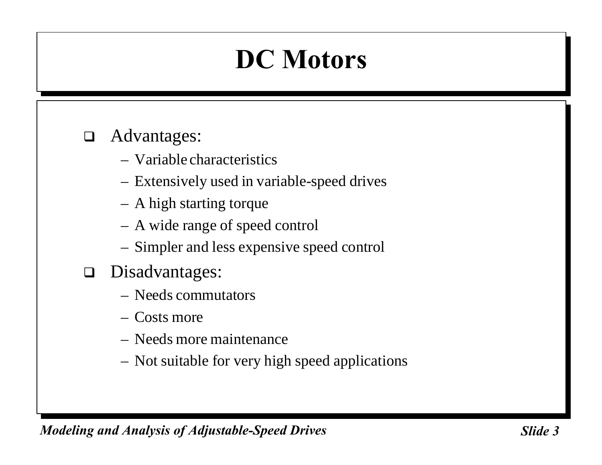#### $\Box$  Advantages:

- Variable characteristics
- Extensively used in variable-speed drives
- A high starting torque
- A wide range of speed control
- Simpler and less expensive speed control
- $\Box$  Disadvantages:
	- Needs commutators
	- Costs more
	- Needs more maintenance
	- Not suitable for very high speed applications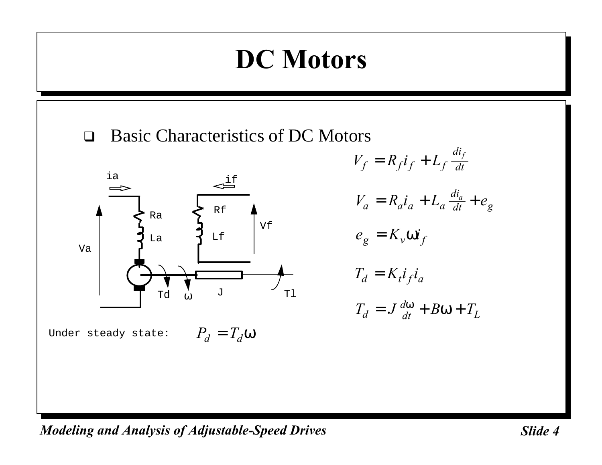

$$
V_f = R_f i_f + L_f \frac{di_f}{dt}
$$
  
\n
$$
V_a = R_a i_a + L_a \frac{di_a}{dt} + e_g
$$
  
\n
$$
e_g = K_v wi_f
$$
  
\n
$$
T_d = K_i i_f i_a
$$
  
\n
$$
T_d = J \frac{dw}{dt} + Bw + T_L
$$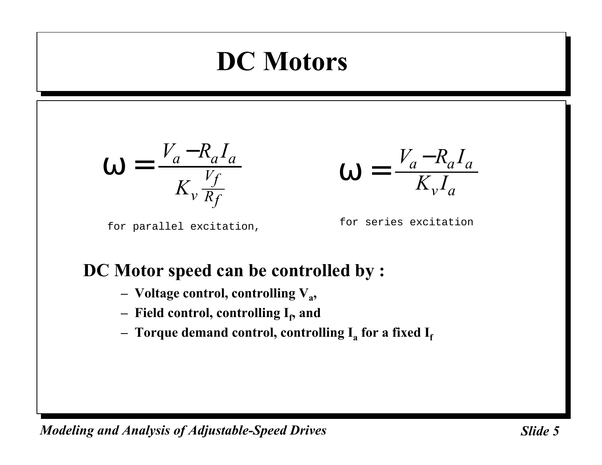$$
\mathbf{W} = \frac{V_a - R_a I_a}{K_v \frac{V_f}{R_f}}
$$

$$
\mathbf{W} = \frac{V_a - R_a I_a}{K_v I_a}
$$

for parallel excitation,

for series excitation

#### **DC Motor speed can be controlled by :**

- **– Voltage control, controlling V<sup>a</sup> ,**
- **–** Field control, controlling I<sub>t</sub>, and
- **– Torque demand control, controlling I<sup>a</sup> for a fixed I<sup>f</sup>**

*Modeling and Analysis of Adjustable-Speed Drives* State 5 and Slide 5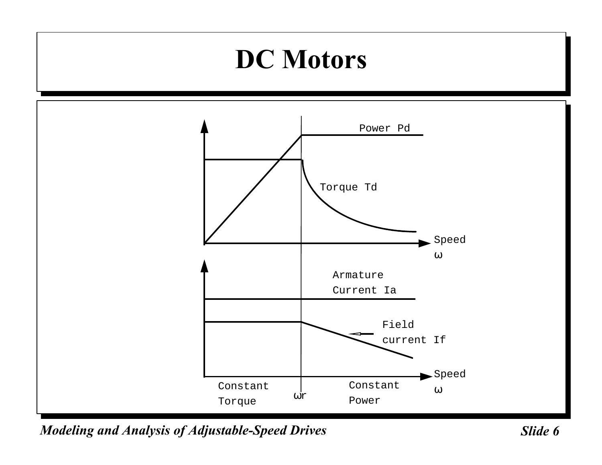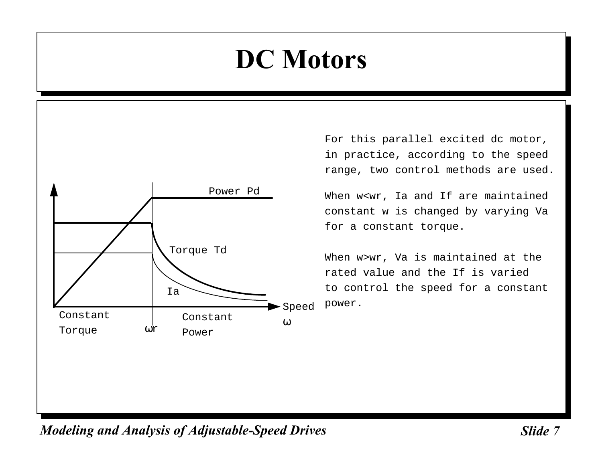

For this parallel excited dc motor, in practice, according to the speed range, two control methods are used.

When w<wr, Ia and If are maintained constant w is changed by varying Va for a constant torque.

When w>wr, Va is maintained at the rated value and the If is varied to control the speed for a constant power.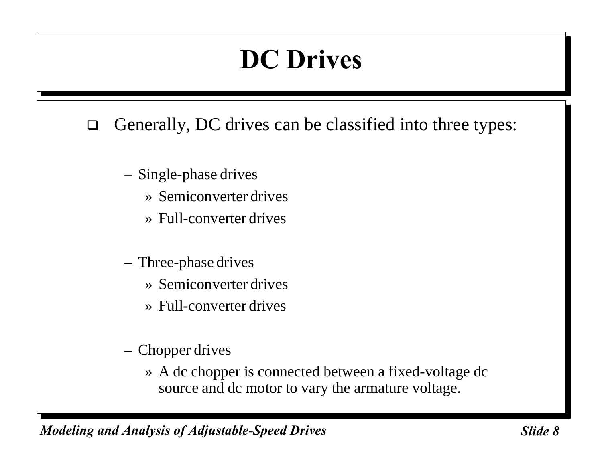## **DC Drives**

- $\Box$  Generally, DC drives can be classified into three types:
	- Single-phase drives
		- » Semiconverter drives
		- » Full-converter drives
	- Three-phase drives
		- » Semiconverter drives
		- » Full-converter drives
	- Chopper drives
		- » A dc chopper is connected between a fixed-voltage dc source and dc motor to vary the armature voltage.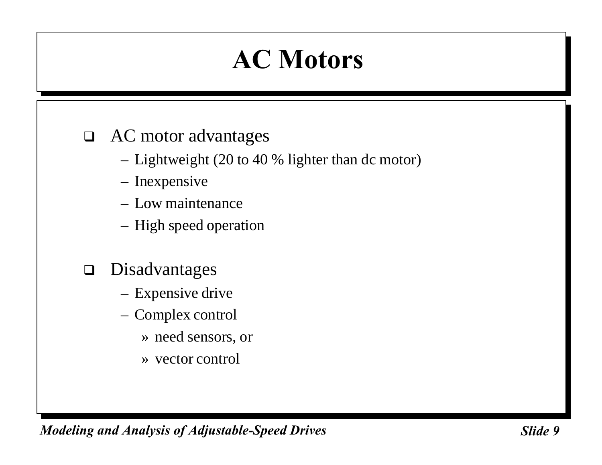# **AC Motors**

#### $\Box$  AC motor advantages

- Lightweight (20 to 40 % lighter than dc motor)
- Inexpensive
- Low maintenance
- High speed operation
- $\n **Disadvantages**\n$ 
	- Expensive drive
	- Complex control
		- » need sensors, or
		- » vector control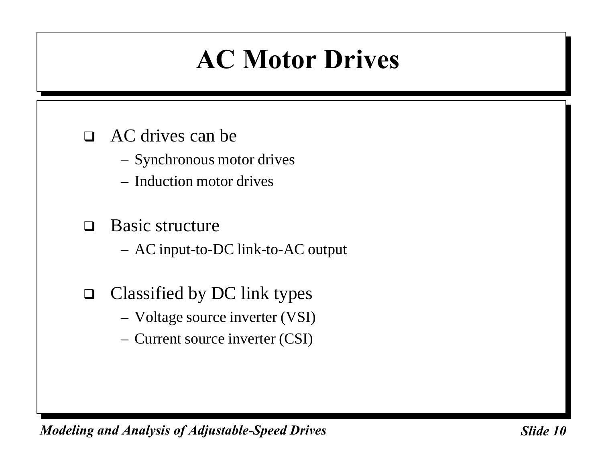### **AC Motor Drives**

#### $\Box$  AC drives can be

- Synchronous motor drives
- Induction motor drives

#### $\Box$  Basic structure

– AC input-to-DC link-to-AC output

- $\Box$  Classified by DC link types
	- Voltage source inverter (VSI)
	- Current source inverter (CSI)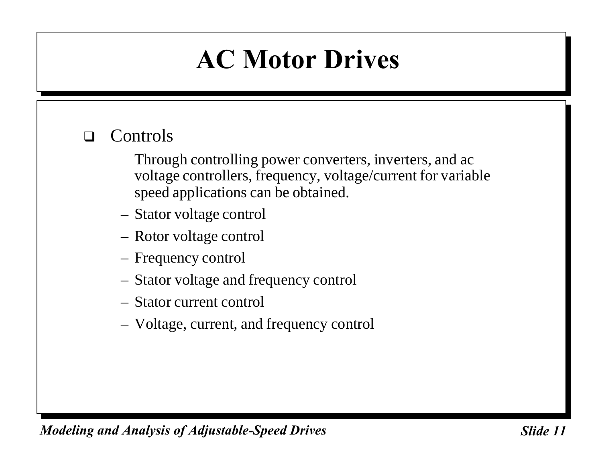### **AC Motor Drives**

#### $\Box$  Controls

Through controlling power converters, inverters, and ac voltage controllers, frequency, voltage/current for variable speed applications can be obtained.

- Stator voltage control
- Rotor voltage control
- Frequency control
- Stator voltage and frequency control
- Stator current control
- Voltage, current, and frequency control

*Modeling and Analysis of Adjustable-Speed Drives* Sunner Slide 11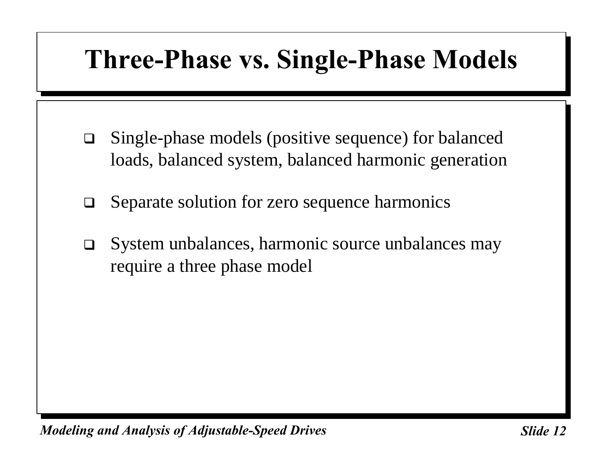### **Three-Phase vs. Single-Phase Models**

- $\Box$  Single-phase models (positive sequence) for balanced loads, balanced system, balanced harmonic generation
- $\Box$  Separate solution for zero sequence harmonics
- $\Box$  System unbalances, harmonic source unbalances may require a three phase model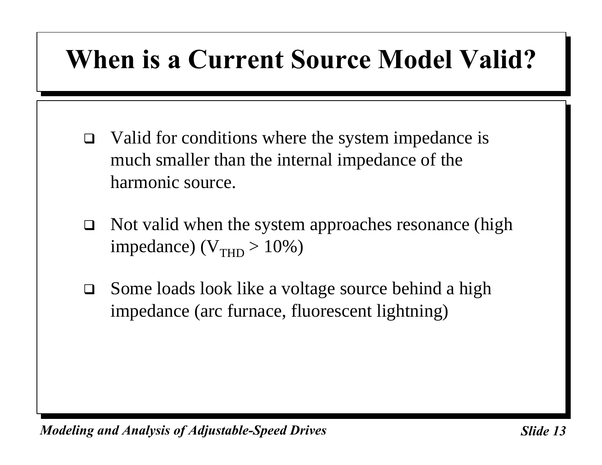# **When is a Current Source Model Valid?**

- $\Box$  Valid for conditions where the system impedance is much smaller than the internal impedance of the harmonic source.
- $\Box$  Not valid when the system approaches resonance (high impedance) ( $V_{\text{THD}} > 10\%$ )
- $\Box$  Some loads look like a voltage source behind a high impedance (arc furnace, fluorescent lightning)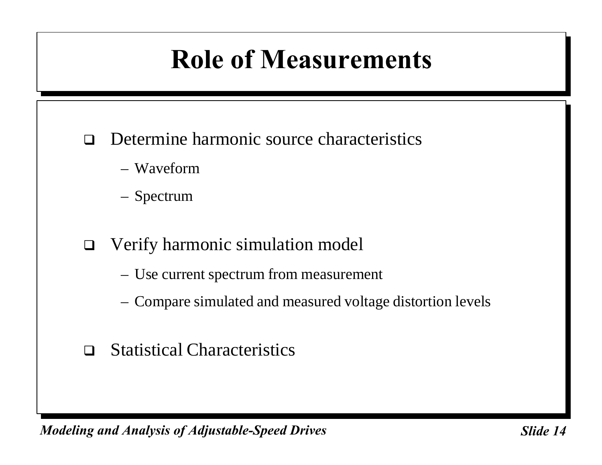# **Role of Measurements**

- $\Box$  Determine harmonic source characteristics
	- Waveform
	- Spectrum
- $\Box$  Verify harmonic simulation model
	- Use current spectrum from measurement
	- Compare simulated and measured voltage distortion levels
- $\Box$  Statistical Characteristics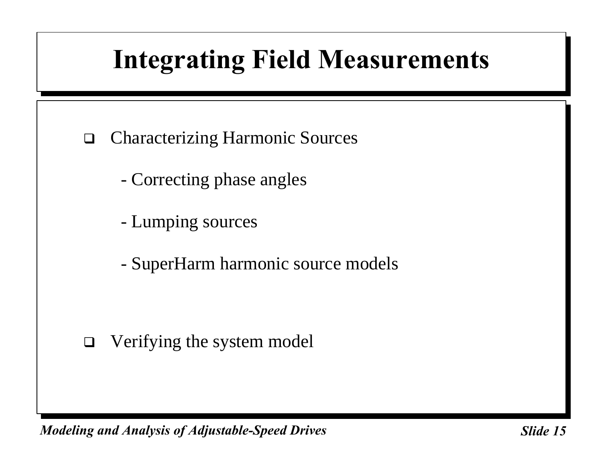# **Integrating Field Measurements**

- $\Box$  Characterizing Harmonic Sources
	- Correcting phase angles
	- Lumping sources
	- SuperHarm harmonic source models

 $\Box$  Verifying the system model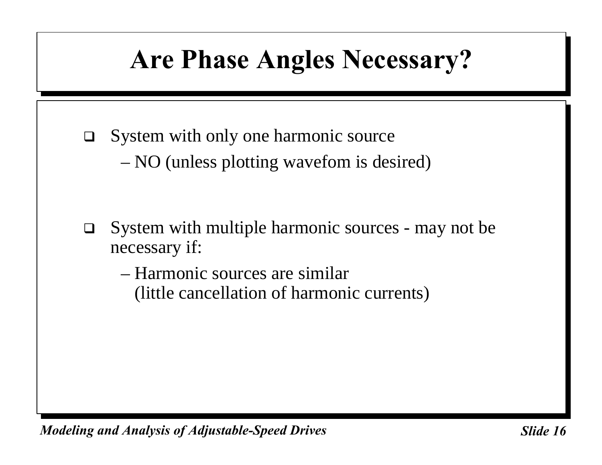# **Are Phase Angles Necessary?**

- $\Box$  System with only one harmonic source
	- NO (unless plotting wavefom is desired)
- $\Box$  System with multiple harmonic sources may not be necessary if:
	- Harmonic sources are similar (little cancellation of harmonic currents)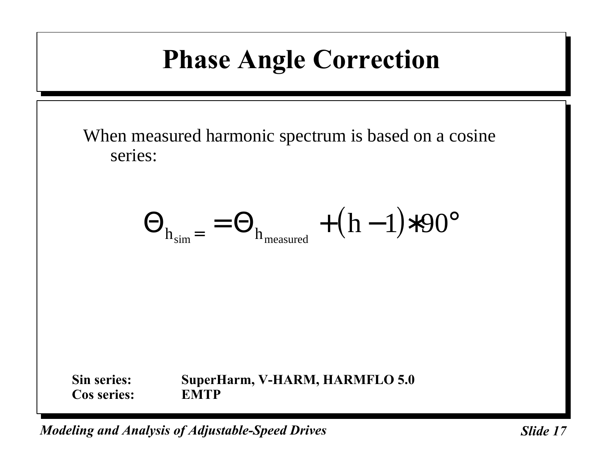## **Phase Angle Correction**

When measured harmonic spectrum is based on a cosine series:

$$
\Theta_{h_{sim}} = \Theta_{h_{measured}} + (h-1) * 90^{\circ}
$$

**Sin series: SuperHarm, V-HARM, HARMFLO 5.0 Cos series: EMTP**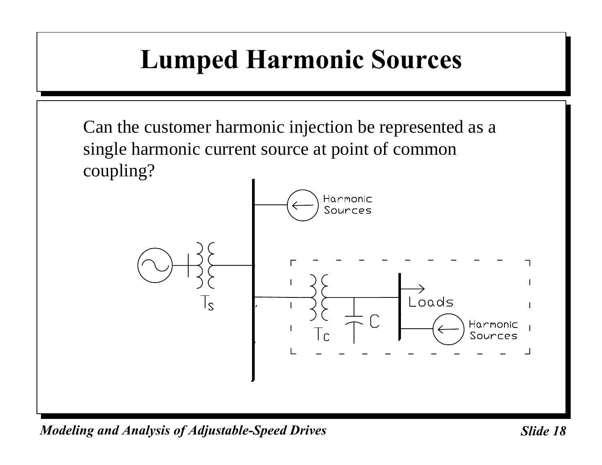# **Lumped Harmonic Sources**

Can the customer harmonic injection be represented as a single harmonic current source at point of common coupling?

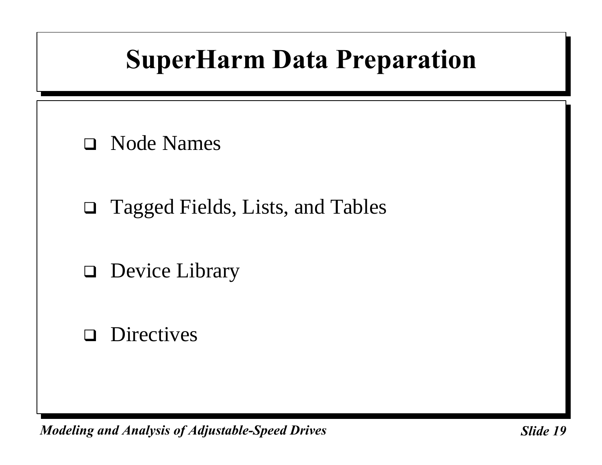# **SuperHarm Data Preparation**

- $\Box$  Node Names
- $\Box$  Tagged Fields, Lists, and Tables
- $\Box$  Device Library
- $\Box$  Directives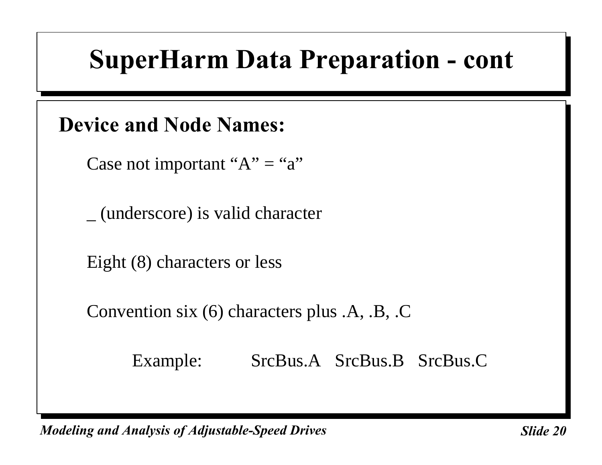#### **Device and Node Names:**

Case not important " $A$ " = "a"

\_ (underscore) is valid character

Eight (8) characters or less

Convention six (6) characters plus .A, .B, .C

Example: SrcBus.A SrcBus.B SrcBus.C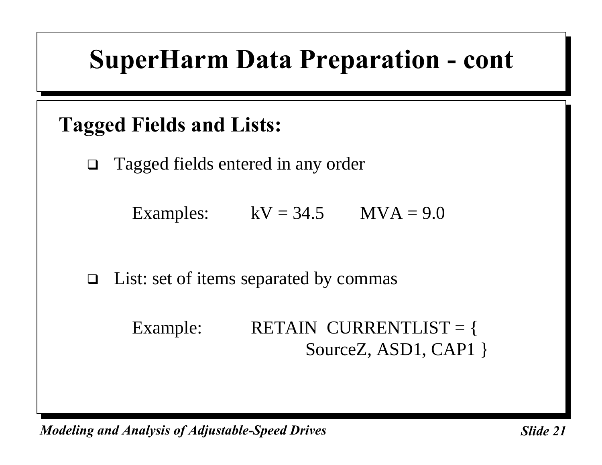#### **Tagged Fields and Lists:**

 $\Box$  Tagged fields entered in any order

Examples:  $kV = 34.5$   $MVA = 9.0$ 

 $\Box$  List: set of items separated by commas

| Example: | RETAIN CURRENTLIST = $\{$ |  |
|----------|---------------------------|--|
|          | SourceZ, ASD1, CAP1 $\}$  |  |

*Modeling and Analysis of Adjustable-Speed Drives* Sunner Slide 21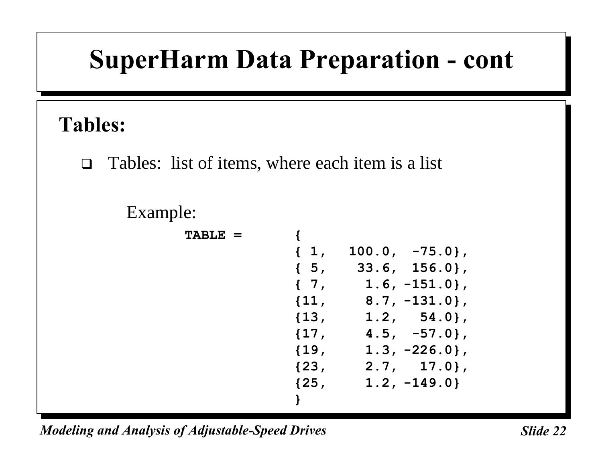#### **Tables:**

 $\Box$  Tables: list of items, where each item is a list

#### Example:

| $TABLE =$ |            |                  |
|-----------|------------|------------------|
|           | $\{1,$     | $100.0, -75.0$ , |
|           | $\{5,$     | $33.6, 156.0$ ,  |
|           | $\{7,$     | $1.6, -151.0$ ,  |
|           | $\{11,$    | $8.7, -131.0$ ,  |
|           | $\{13,$    | $1.2, 54.0$ ,    |
|           | ${17,$     | $4.5, -57.0$ ,   |
|           | $\{19,$    | $1.3, -226.0$ ,  |
|           | ${23, 23}$ | $2.7, 17.0$ ,    |
|           | ${25, $    | $1.2, -149.0$    |
|           | ł          |                  |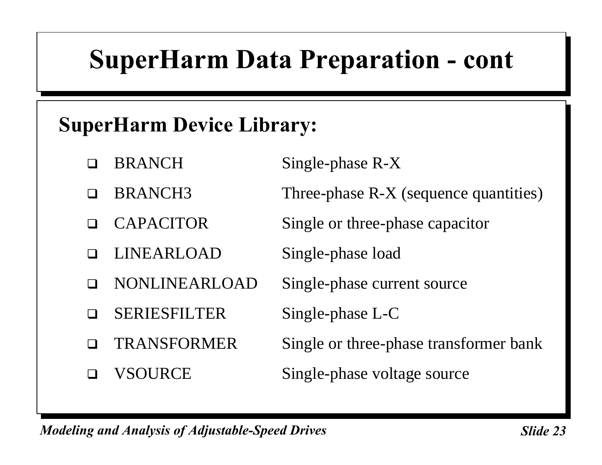#### **SuperHarm Device Library:**

- $\Box$  BRANCH Single-phase R-X
- $\Box$  BRANCH3 Three-phase R-X (sequence quantities)
- CAPACITOR Single or three-phase capacitor
	- LINEARLOAD Single-phase load
- NONLINEARLOAD Single-phase current source
- □ SERIESFILTER Single-phase L-C
- 
- 

- 
- TRANSFORMER Single or three-phase transformer bank
- □ VSOURCE Single-phase voltage source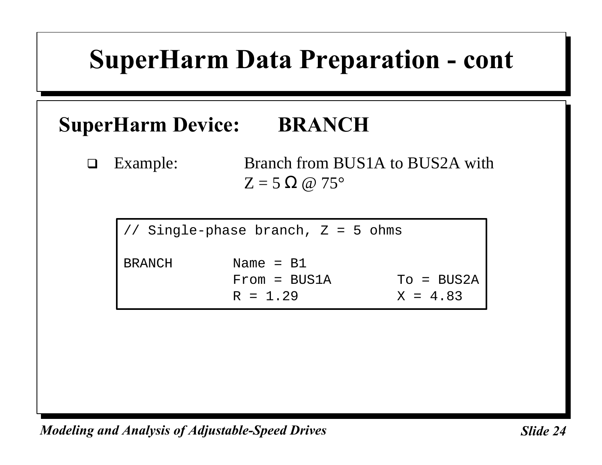#### **SuperHarm Device: BRANCH**

□ Example: Branch from BUS1A to BUS2A with  $Z = 5 \Omega \omega 75^{\circ}$ 

Single-phase branch,  $Z = 5$  ohms BRANCH Name = B1 From = BUS1A To = BUS2A  $R = 1.29$   $X = 4.83$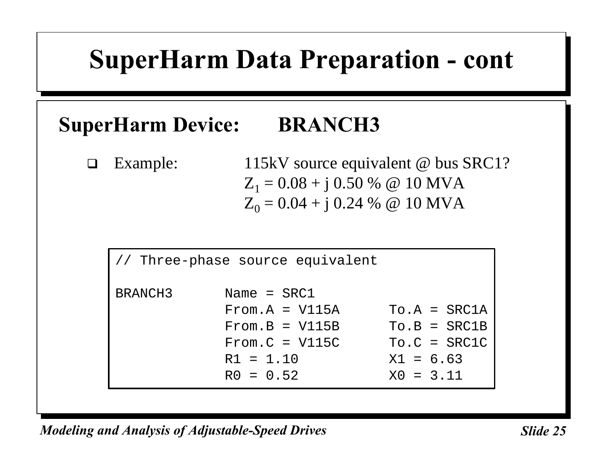#### **SuperHarm Device: BRANCH3**

 $\Box$  Example: 115kV source equivalent @ bus SRC1?  $Z_1 = 0.08 + j 0.50 %$  @ 10 MVA  $Z_0 = 0.04 + j 0.24 %$  @ 10 MVA

```
// Three-phase source equivalent
BRANCH3 Name = SRC1
          From.A = V115A To.A = SRC1A
          From.B = V115B To.B = SRC1B
          From.C = V115C To.C = SRC1CR1 = 1.10 X1 = 6.63R0 = 0.52 X0 = 3.11
```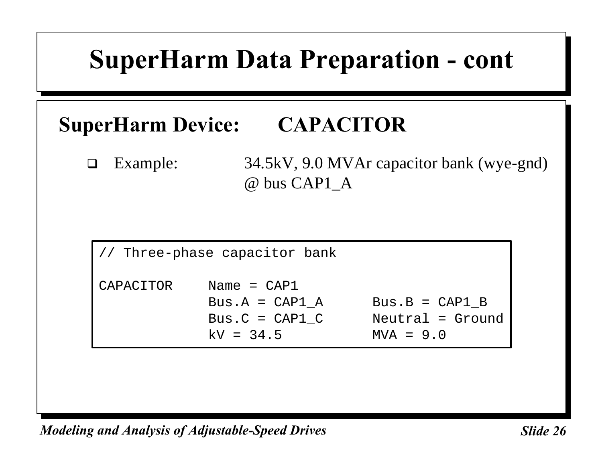#### **SuperHarm Device: CAPACITOR**

□ Example: 34.5kV, 9.0 MVAr capacitor bank (wye-gnd) @ bus CAP1\_A

|           | // Three-phase capacitor bank                                         |                                                     |
|-----------|-----------------------------------------------------------------------|-----------------------------------------------------|
| CAPACITOR | Name = $CAP1$<br>Bus.A = $CAP1 A$<br>Bus. $C = CAP1 C$<br>$kV = 34.5$ | $Bus.B = CAP1 B$<br>Neutral = Ground<br>$MVA = 9.0$ |
|           |                                                                       |                                                     |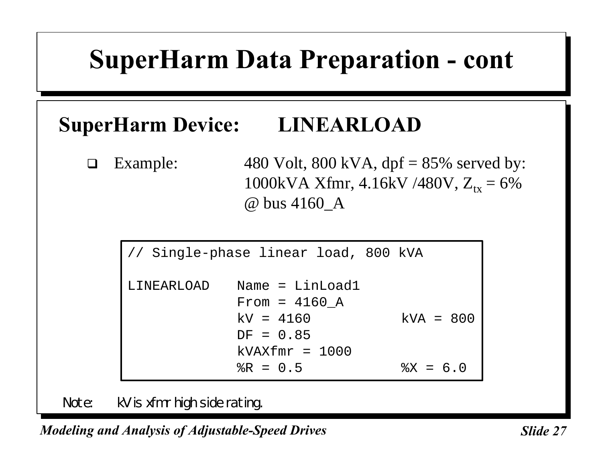#### **SuperHarm Device: LINEARLOAD**

 $\Box$  Example: 480 Volt, 800 kVA, dpf = 85% served by: 1000kVA Xfmr, 4.16kV /480V,  $Z_{tx} = 6\%$ @ bus 4160\_A

|            | // Single-phase linear load, 800 kVA |             |
|------------|--------------------------------------|-------------|
| LINEARLOAD | Name = $LinLoad1$<br>From = $4160$ A |             |
|            | $kV = 4160$                          | $kVA = 800$ |
|            | $DF = 0.85$<br>$kVAXfmr = 1000$      |             |
|            | $R = 0.5$                            | $8X = 6.0$  |

Note: kV is xfmr high side rating.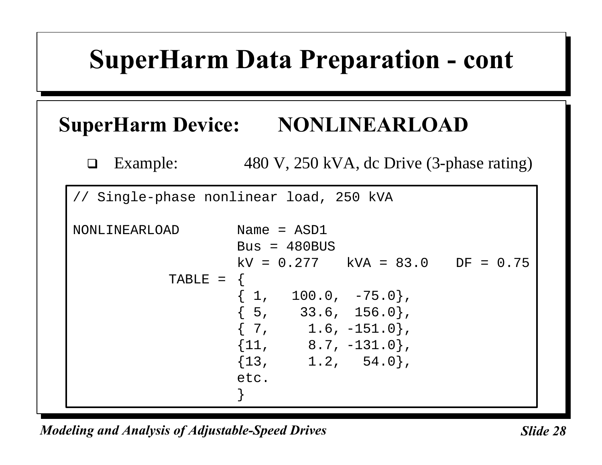#### **SuperHarm Device: NONLINEARLOAD**

 $\Box$  Example: 480 V, 250 kVA, dc Drive (3-phase rating)

// Single-phase nonlinear load, 250 kVA

```
NONLINEARLOAD Name = ASD1
                 Bus = 480BUSkV = 0.277 kVA = 83.0 DF = 0.75TABLE = \{{1, 100.0, -75.0},{5, 33.6, 156.0},\{ 7, 1.6, -151.0 \},
                 {11, 8.7, -131.0},{13, 1.2, 54.0},etc.
                 }
```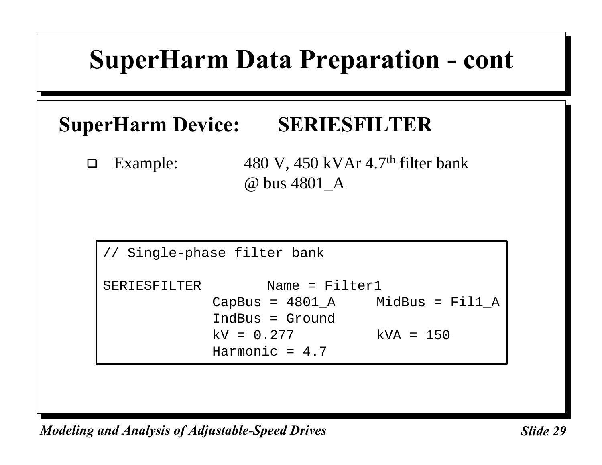#### **SuperHarm Device: SERIESFILTER**

 $\Box$  Example: 480 V, 450 kVAr 4.7<sup>th</sup> filter bank @ bus 4801\_A

```
// Single-phase filter bank
SERIESFILTER Name = Filter1
           CapBus = 4801 A MidBus = Fil1 A
           IndBus = Ground
           kV = 0.277 kVA = 150Harmonic = 4.7
```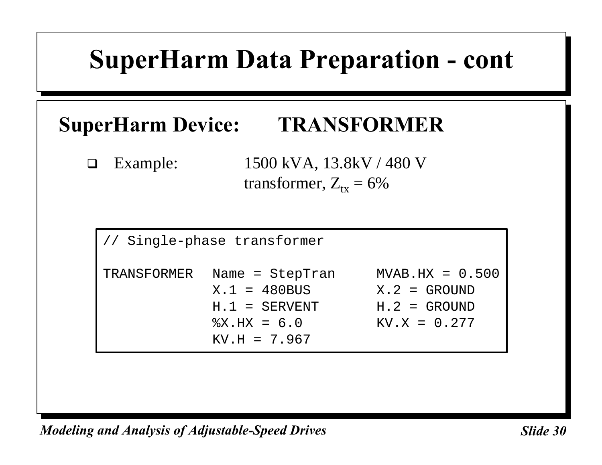#### **SuperHarm Device: TRANSFORMER**

 $\Box$  Example: 1500 kVA, 13.8kV / 480 V transformer,  $Z_{tx} = 6\%$ 

|             | // Single-phase transformer                                                                    |                                                                         |
|-------------|------------------------------------------------------------------------------------------------|-------------------------------------------------------------------------|
| TRANSFORMER | Name = StepTran<br>$X.1 = 480$ BUS<br>$H.1 = SERVENT$<br>$\text{X.HX} = 6.0$<br>$KV.H = 7.967$ | $MVAB.HX = 0.500$<br>$X.2 = GROUND$<br>$H.2 = GROUND$<br>$KV.X = 0.277$ |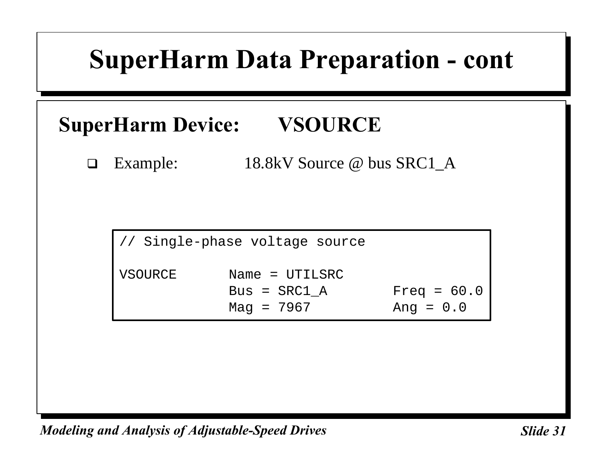#### **SuperHarm Device: VSOURCE**

□ Example: 18.8kV Source @ bus SRC1\_A

|         | // Single-phase voltage source |               |
|---------|--------------------------------|---------------|
| VSOURCE | Name = $UTILSRC$               |               |
|         | $Bus = SRC1 A$                 | Freq = $60.0$ |
|         | $Mag = 7967$                   | Ang = $0.0$   |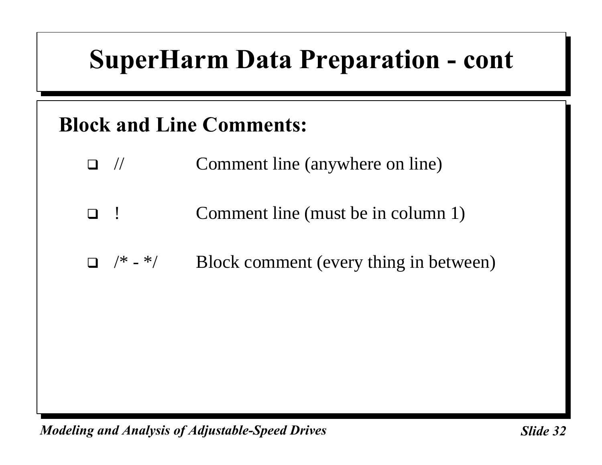#### **Block and Line Comments:**

- $\Box$  // Comment line (anywhere on line)
- □ ! Comment line (must be in column 1)
- $\Box$  /\* \*/ Block comment (every thing in between)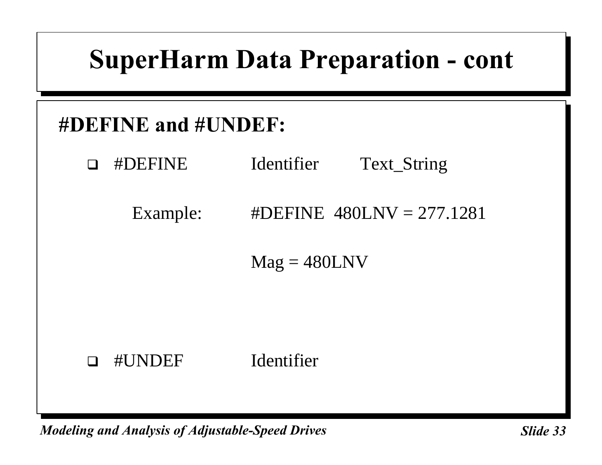#### **#DEFINE and #UNDEF:**

- **Example FINE** Identifier Text\_String
	- Example: #DEFINE  $480LNV = 277.1281$

 $Mag = 480LNV$ 

#### **u** #UNDEF Identifier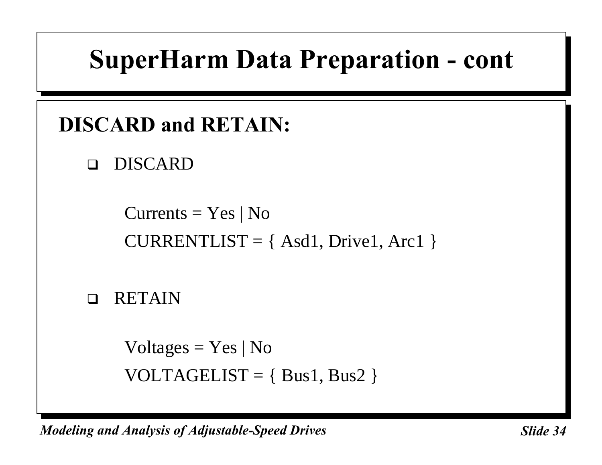#### **DISCARD and RETAIN:**

**DISCARD** 

Currents  $=$  Yes | No  $CURRENTLIST = { Asd1, Drive1, Arc1 }$ 

 $\n **RETAIN**\n$ 

Voltages  $=$  Yes | No VOLTAGELIST =  $\{ Bus1, Bus2 \}$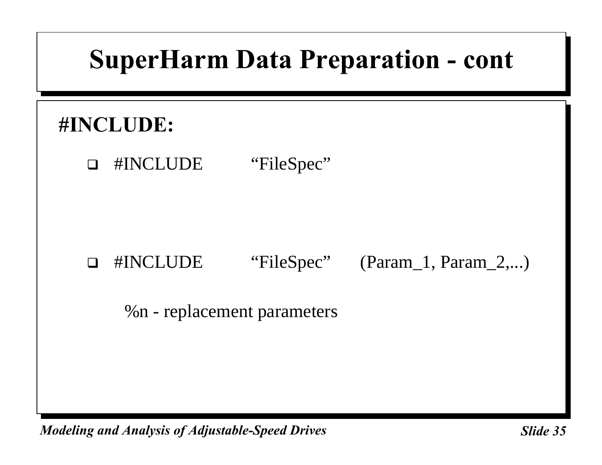#### **#INCLUDE:**

□ #INCLUDE "FileSpec"

#### □ #INCLUDE "FileSpec" (Param\_1, Param\_2,...)

%n - replacement parameters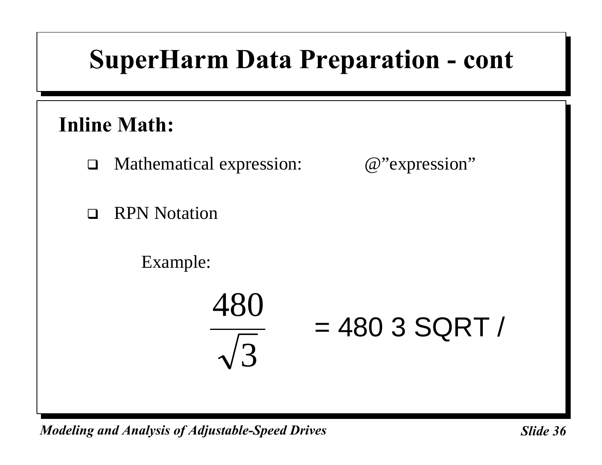#### **Inline Math:**

- $\Box$  Mathematical expression:  $@$ "expression"
- $\Box$  RPN Notation

Example:

$$
\frac{480}{\sqrt{3}} = 4803 \text{ SQRT}
$$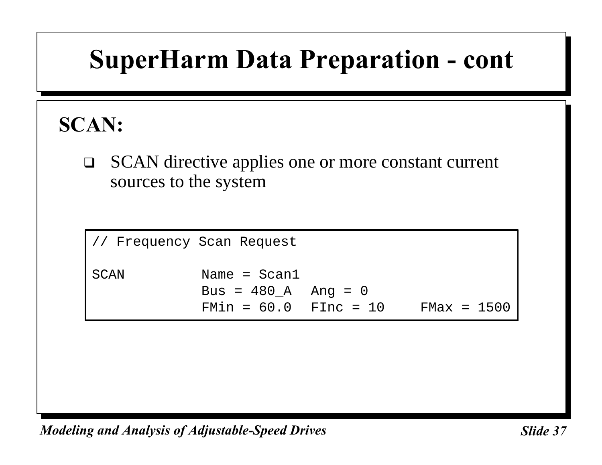# **SuperHarm Data Preparation - cont**

#### **SCAN:**

□ SCAN directive applies one or more constant current sources to the system

// Frequency Scan Request SCAN Name = Scan1  $Bus = 480_A$  Ang = 0 FMin = 60.0 FInc = 10 FMax = 1500

*Modeling and Analysis of Adjustable-Speed Drives* Sunner Slide 37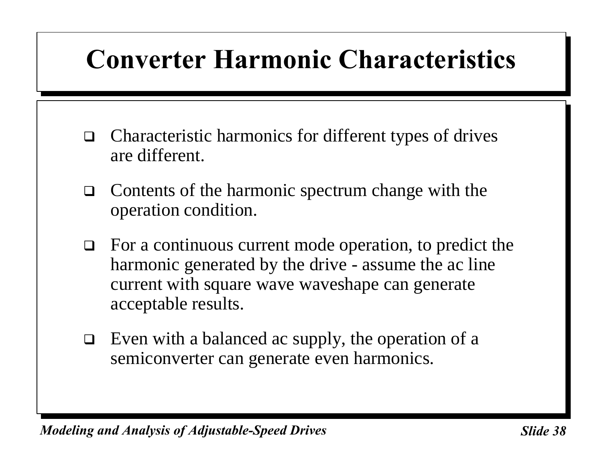# **Converter Harmonic Characteristics**

- $\Box$  Characteristic harmonics for different types of drives are different.
- $\Box$  Contents of the harmonic spectrum change with the operation condition.
- $\Box$  For a continuous current mode operation, to predict the harmonic generated by the drive - assume the ac line current with square wave waveshape can generate acceptable results.
- $\Box$  Even with a balanced ac supply, the operation of a semiconverter can generate even harmonics.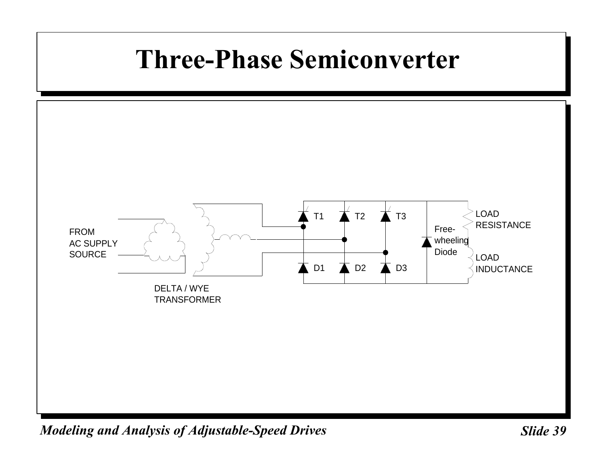# **Three-Phase Semiconverter**

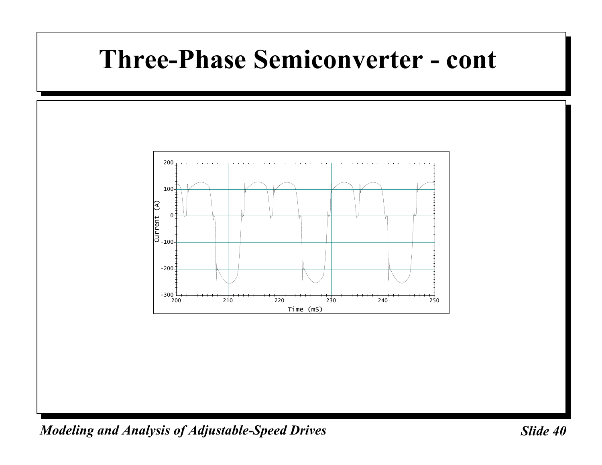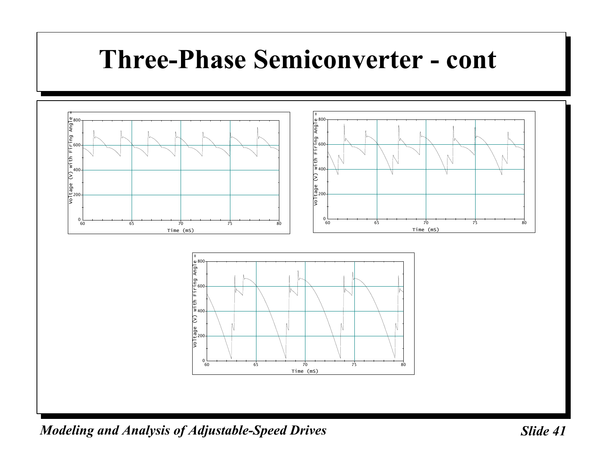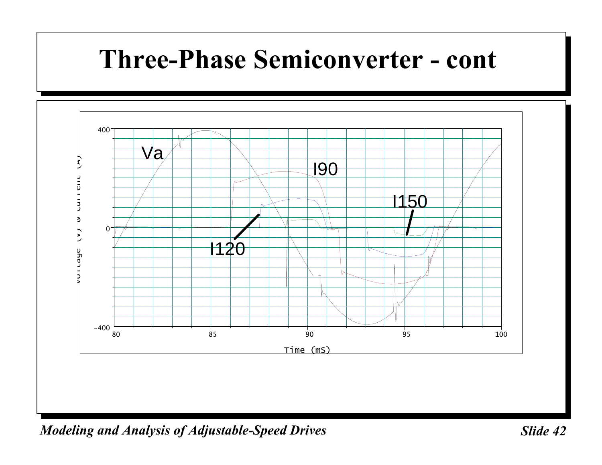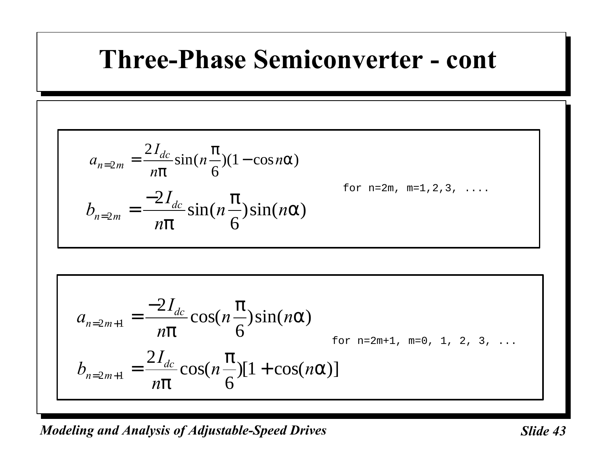$$
a_{n=2m} = \frac{2I_{dc}}{np} \sin(n\frac{p}{6})(1-\cos n\mathbf{a})
$$
  
\n
$$
b_{n=2m} = \frac{-2I_{dc}}{np} \sin(n\frac{p}{6}) \sin(n\mathbf{a})
$$
  
\n
$$
a_{n=2m+1} = \frac{-2I_{dc}}{np} \cos(n\frac{p}{6}) \sin(n\mathbf{a})
$$
  
\n
$$
b_{n=2m+1} = \frac{-2I_{dc}}{np} \cos(n\frac{p}{6}) \sin(n\mathbf{a})
$$
  
\n
$$
b_{n=2m+1} = \frac{2I_{dc}}{np} \cos(n\frac{p}{6}) [1 + \cos(n\mathbf{a})]
$$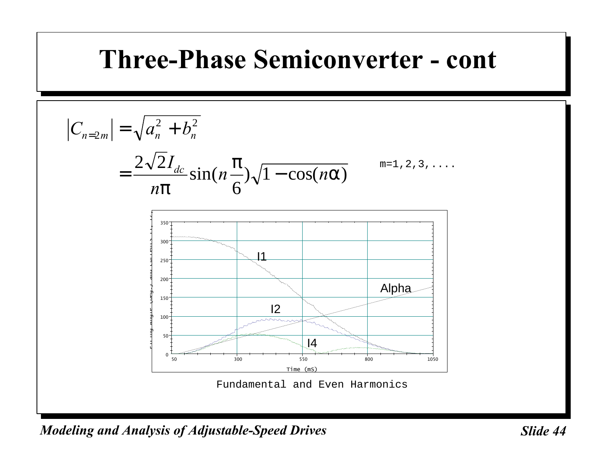*C a b I n n n n m n n dc* <sup>=</sup> = + = − 2 2 2 2 2 6 1 *p p* sin( ) cos( *a*) m=1,2,3,.... 50 300 550 800 1050 0 50 100 150 200 250 300 350 Time (mS) Firing Angle (Deg.) and Currents I1, I2, I4 (A) I1 I2 I4 Alpha Fundamental and Even Harmonics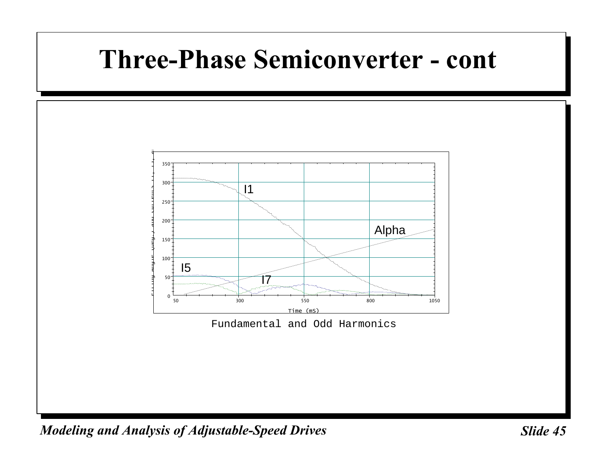

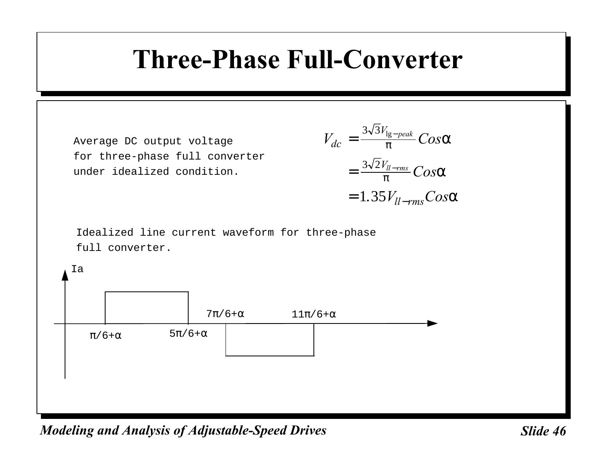#### **Three-Phase Full-Converter**

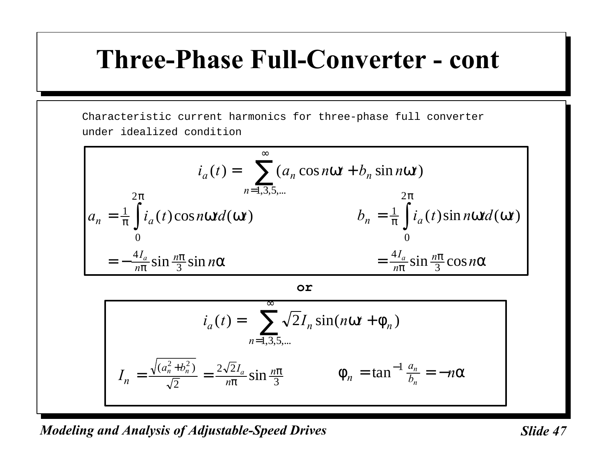#### **Three-Phase Full-Converter - cont**

Characteristic current harmonics for three-phase full converter under idealized condition

$$
i_a(t) = \sum_{n=1,3,5,\dots}^{\infty} (a_n \cos nwt + b_n \sin nwt)
$$
  
\n
$$
a_n = \frac{1}{p} \int_0^{2p} i_a(t) \cos nwt d(wt)
$$
  
\n
$$
b_n = \frac{1}{p} \int_0^{2p} i_a(t) \sin nwt d(wt)
$$
  
\n
$$
= -\frac{4I_a}{np} \sin \frac{np}{3} \sin n a
$$
  
\n
$$
= \frac{4I_a}{np} \sin \frac{np}{3} \cos n a
$$

**or**

$$
i_a(t) = \sum_{n=1,3,5,...}^{\infty} \sqrt{2} I_n \sin(nwt + f_n)
$$

$$
I_n = \frac{\sqrt{(a_n^2 + b_n^2)}}{\sqrt{2}} = \frac{2\sqrt{2}I_a}{np} \sin \frac{np}{3} \qquad f_n = \tan^{-1} \frac{a_n}{b_n} = -n\mathbf{a}
$$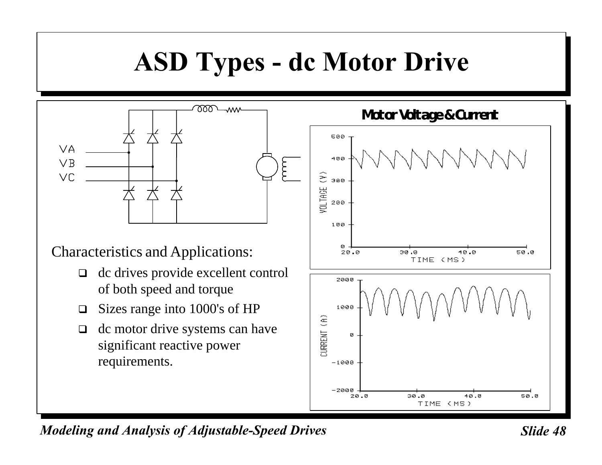# **ASD Types - dc Motor Drive**



Characteristics and Applications:

- $\Box$  dc drives provide excellent control of both speed and torque
- $\Box$  Sizes range into 1000's of HP
- $\Box$  dc motor drive systems can have significant reactive power requirements.



*Modeling and Analysis of Adjustable-Speed Drives* Sunner Slide 48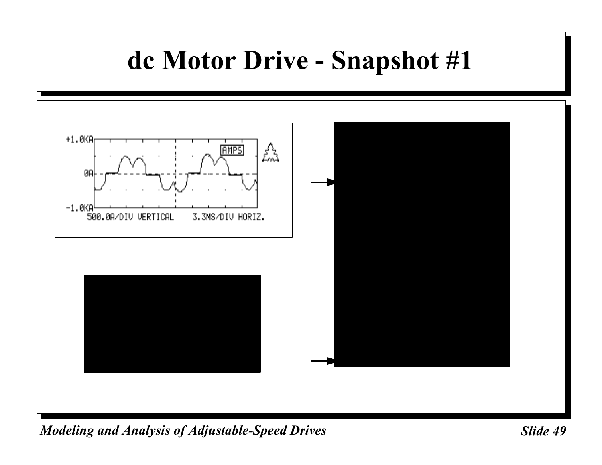### **dc Motor Drive - Snapshot #1**

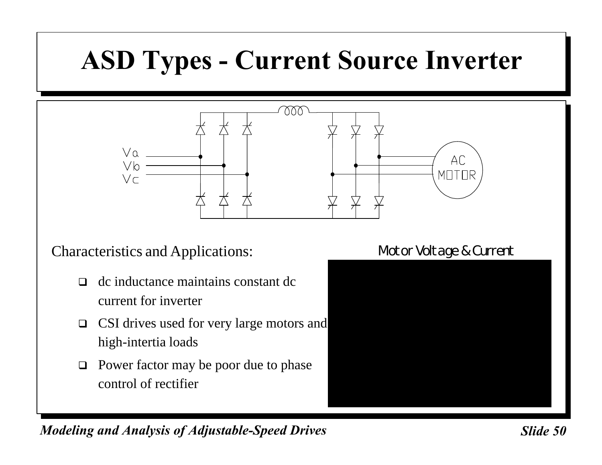# **ASD Types - Current Source Inverter**



Characteristics and Applications:

- $\Box$  dc inductance maintains constant dc current for inverter
- $\Box$  CSI drives used for very large motors and high-intertia loads
- $\Box$  Power factor may be poor due to phase control of rectifier

#### Motor Voltage & Current

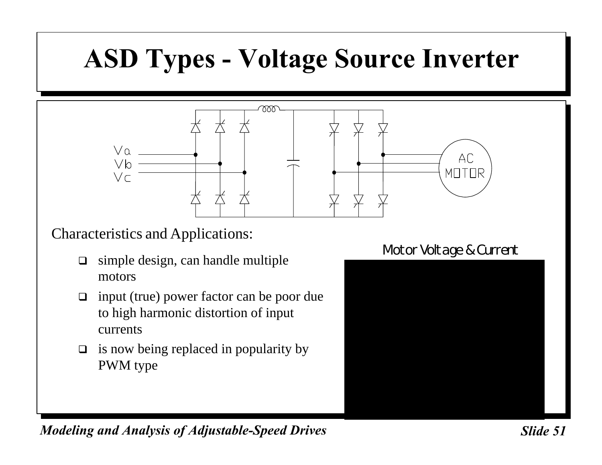# **ASD Types - Voltage Source Inverter**



#### Characteristics and Applications:

- $\Box$  simple design, can handle multiple motors
- $\Box$  input (true) power factor can be poor due to high harmonic distortion of input currents
- $\Box$  is now being replaced in popularity by PWM type

#### Motor Voltage & Current

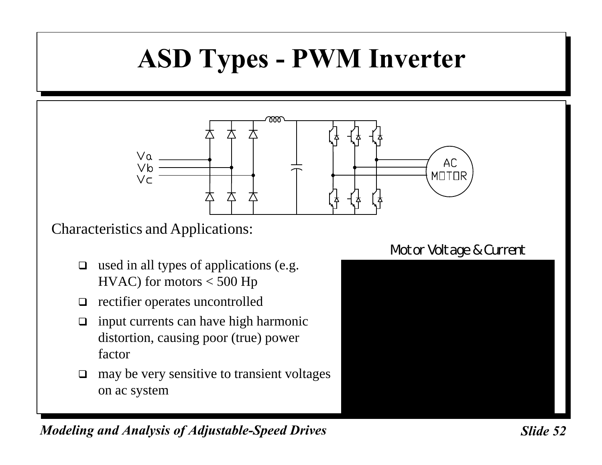# **ASD Types - PWM Inverter**



Characteristics and Applications:

- $\Box$  used in all types of applications (e.g. HVAC) for motors < 500 Hp
- $\Box$  rectifier operates uncontrolled
- $\Box$  input currents can have high harmonic distortion, causing poor (true) power factor
- $\Box$  may be very sensitive to transient voltages on ac system

#### Motor Voltage & Current

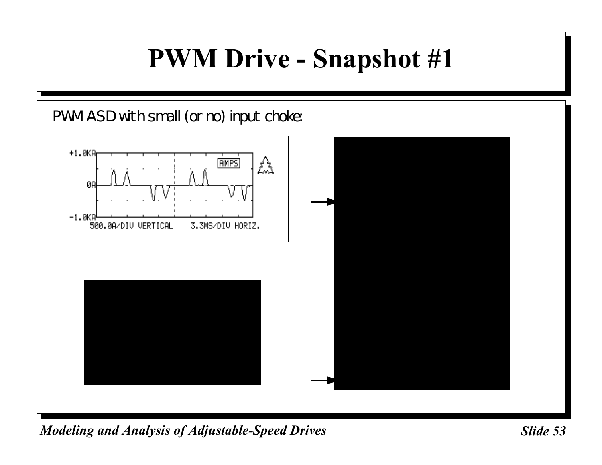### **PWM Drive - Snapshot #1**

PWM ASD with small (or no) input choke:

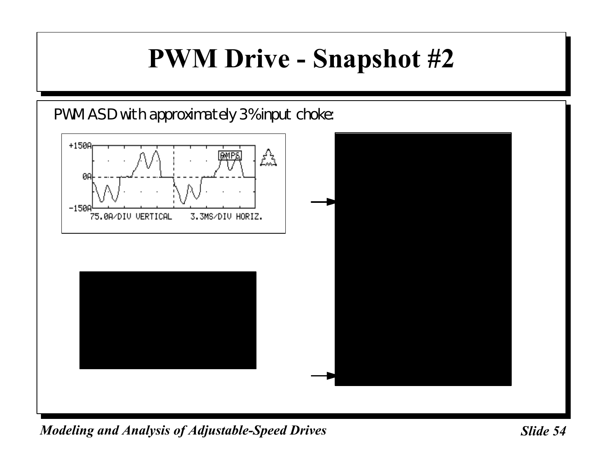## **PWM Drive - Snapshot #2**

PWM ASD with approximately 3% input choke:

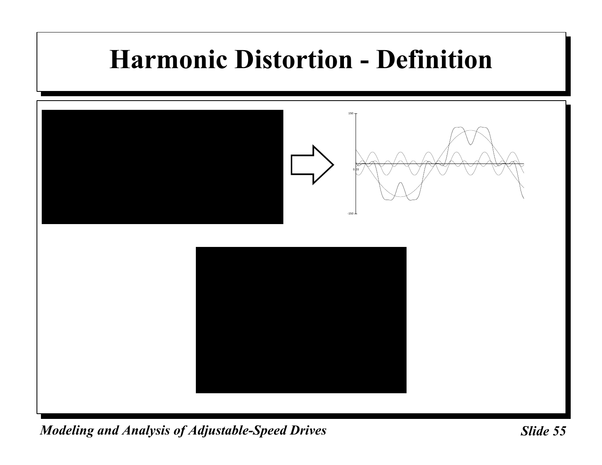## **Harmonic Distortion - Definition**

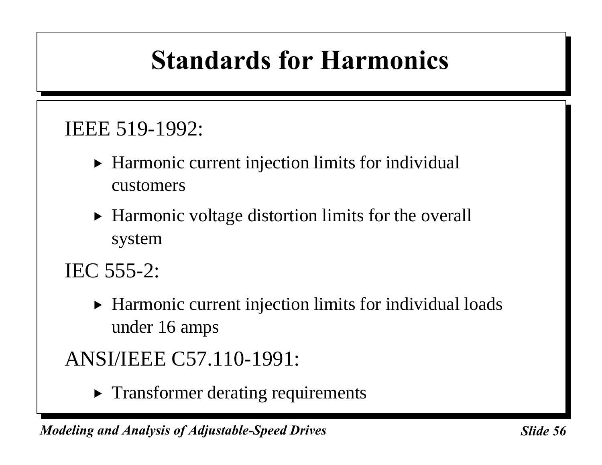# **Standards for Harmonics**

#### IEEE 519-1992:

- $\triangleright$  Harmonic current injection limits for individual customers
- $\blacktriangleright$  Harmonic voltage distortion limits for the overall system

IEC 555-2:

 $\blacktriangleright$  Harmonic current injection limits for individual loads under 16 amps

ANSI/IEEE C57.110-1991:

 $\triangleright$  Transformer derating requirements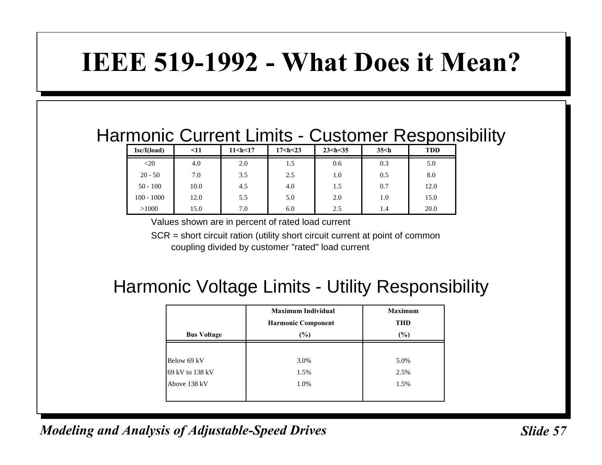### **IEEE 519-1992 - What Does it Mean?**

#### Harmonic Current Limits - Customer Responsibility

| Isc/I(load)  | $\leq 11$ | $11$ <h <17<="" th=""><th>17<h<23< th=""><th><math>23</math> <h 35<="" <="" th=""><th><math>35&lt;</math>h</th><th><b>TDD</b></th></h></th></h<23<></th></h> | 17 <h<23< th=""><th><math>23</math> <h 35<="" <="" th=""><th><math>35&lt;</math>h</th><th><b>TDD</b></th></h></th></h<23<> | $23$ <h 35<="" <="" th=""><th><math>35&lt;</math>h</th><th><b>TDD</b></th></h> | $35<$ h | <b>TDD</b> |
|--------------|-----------|--------------------------------------------------------------------------------------------------------------------------------------------------------------|----------------------------------------------------------------------------------------------------------------------------|--------------------------------------------------------------------------------|---------|------------|
| $<$ 20       | 4.0       | 2.0                                                                                                                                                          | 1.5                                                                                                                        | 0.6                                                                            | 0.3     | 5.0        |
| $20 - 50$    | 7.0       | 3.5                                                                                                                                                          | 2.5                                                                                                                        | 1.0                                                                            | 0.5     | 8.0        |
| $50 - 100$   | 10.0      | 4.5                                                                                                                                                          | 4.0                                                                                                                        | 1.5                                                                            | 0.7     | 12.0       |
| $100 - 1000$ | 12.0      | 5.5                                                                                                                                                          | 5.0                                                                                                                        | 2.0                                                                            | 1.0     | 15.0       |
| >1000        | 15.0      | 7.0                                                                                                                                                          | 6.0                                                                                                                        | 2.5                                                                            | 1.4     | 20.0       |

Values shown are in percent of rated load current

SCR = short circuit ration (utility short circuit current at point of common coupling divided by customer "rated" load current

#### Harmonic Voltage Limits - Utility Responsibility

| <b>Bus Voltage</b> | <b>Maximum Individual</b><br><b>Harmonic Component</b><br>$(\%)$ | <b>Maximum</b><br><b>THD</b><br>(%) |  |
|--------------------|------------------------------------------------------------------|-------------------------------------|--|
|                    |                                                                  |                                     |  |
| Below 69 kV        | 3.0%                                                             | 5.0%                                |  |
| 69 kV to 138 kV    | 1.5%                                                             | 2.5%                                |  |
| Above 138 kV       | 1.0%                                                             | 1.5%                                |  |
|                    |                                                                  |                                     |  |

*Modeling and Analysis of Adjustable-Speed Drives* Sunner Slide 57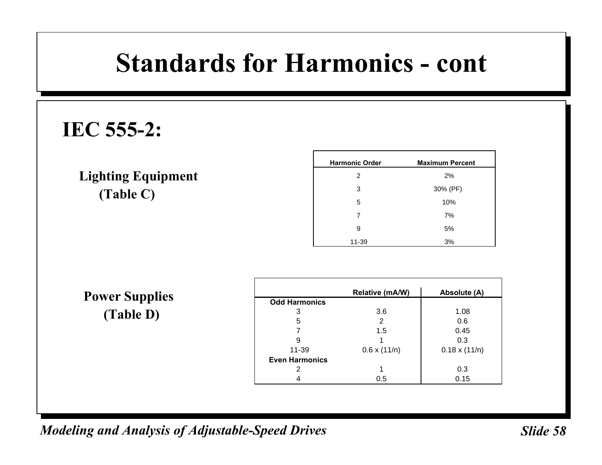### **Standards for Harmonics - cont**

#### **IEC 555-2:**

#### **Lighting Equipment (Table C)**

| <b>Harmonic Order</b> | <b>Maximum Percent</b> |  |
|-----------------------|------------------------|--|
| 2                     | 2%                     |  |
| 3                     | 30% (PF)               |  |
| 5                     | 10%                    |  |
| 7                     | 7%                     |  |
| 9                     | 5%                     |  |
| 11-39                 | 3%                     |  |

**Power Supplies (Table D)**

|                       | Relative (mA/W)     | Absolute (A)         |
|-----------------------|---------------------|----------------------|
| <b>Odd Harmonics</b>  |                     |                      |
| 3                     | 3.6                 | 1.08                 |
| 5                     | 2                   | 0.6                  |
|                       | 1.5                 | 0.45                 |
| 9                     |                     | 0.3                  |
| 11-39                 | $0.6 \times (11/n)$ | $0.18 \times (11/n)$ |
| <b>Even Harmonics</b> |                     |                      |
|                       |                     | 0.3                  |
|                       | 0.5                 | 0.15                 |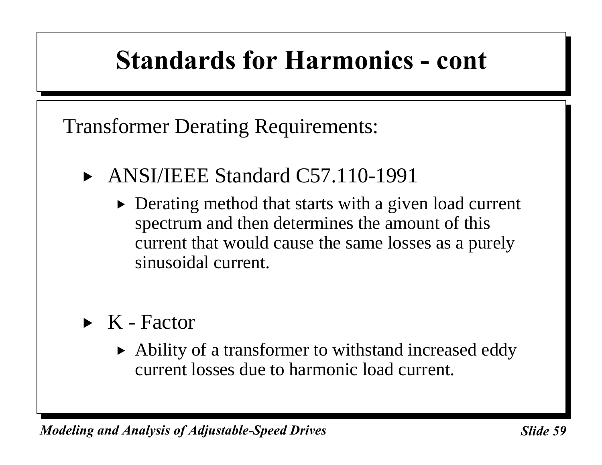### **Standards for Harmonics - cont**

Transformer Derating Requirements:

- $\blacktriangleright$  ANSI/IEEE Standard C57.110-1991
	- $\triangleright$  Derating method that starts with a given load current spectrum and then determines the amount of this current that would cause the same losses as a purely sinusoidal current.
- $\triangleright$  K Factor
	- $\blacktriangleright$  Ability of a transformer to withstand increased eddy current losses due to harmonic load current.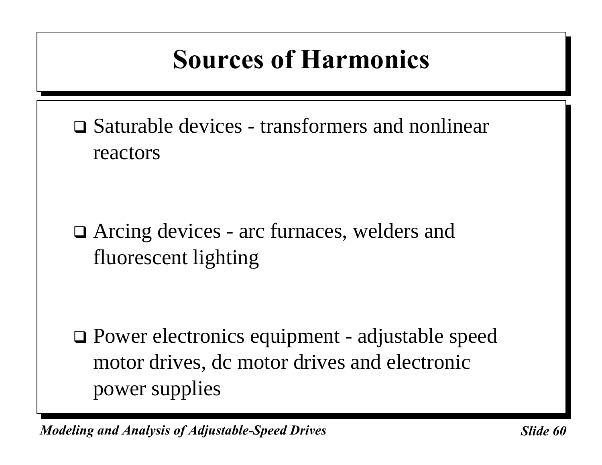# **Sources of Harmonics**

 $\Box$  Saturable devices - transformers and nonlinear reactors

 $\Box$  Arcing devices - arc furnaces, welders and fluorescent lighting

 $\Box$  Power electronics equipment - adjustable speed motor drives, dc motor drives and electronic power supplies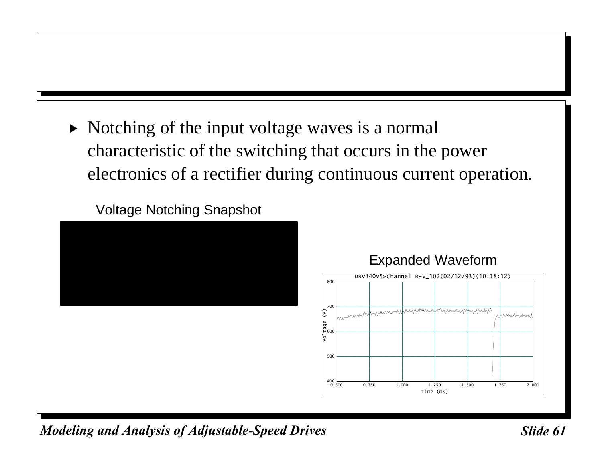$\triangleright$  Notching of the input voltage waves is a normal characteristic of the switching that occurs in the power electronics of a rectifier during continuous current operation.

Voltage Notching Snapshot



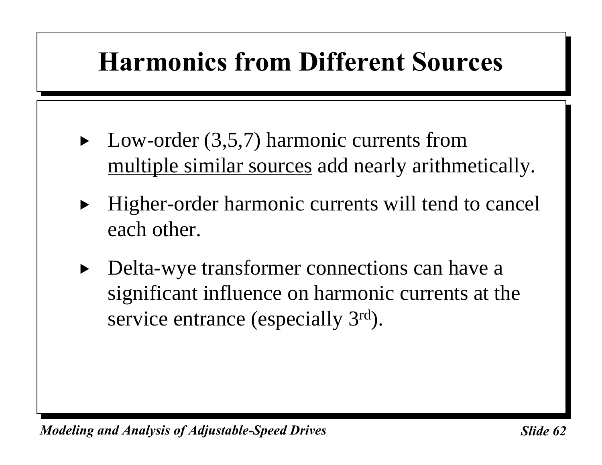# **Harmonics from Different Sources**

- $\blacktriangleright$  Low-order (3,5,7) harmonic currents from multiple similar sources add nearly arithmetically.
- Higher-order harmonic currents will tend to cancel each other.
- Delta-wye transformer connections can have a significant influence on harmonic currents at the service entrance (especially 3<sup>rd</sup>).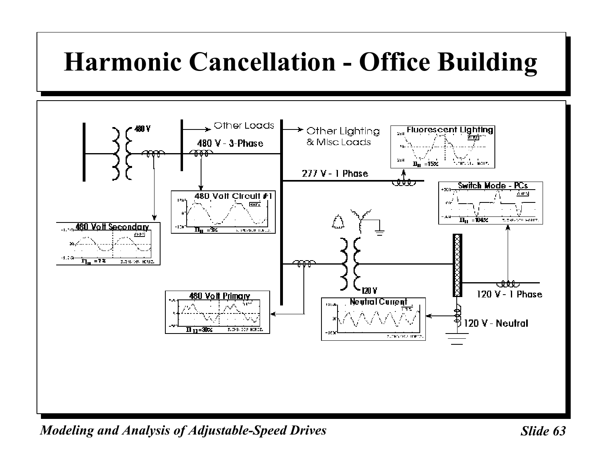# **Harmonic Cancellation - Office Building**

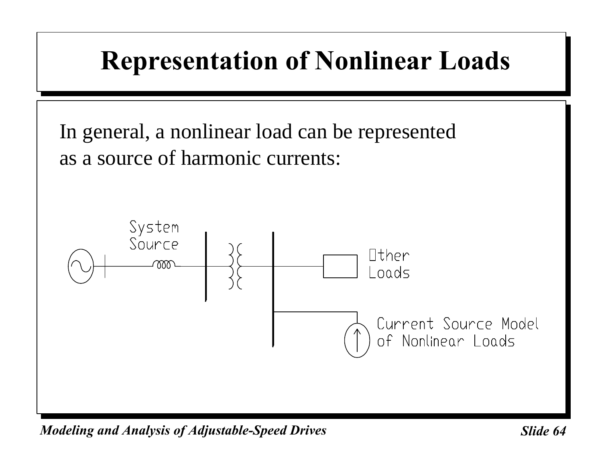

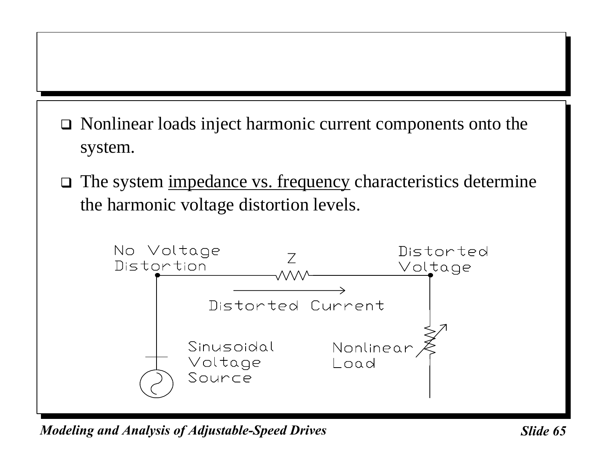- $\Box$  Nonlinear loads inject harmonic current components onto the system.
- $\Box$  The system <u>impedance vs. frequency</u> characteristics determine the harmonic voltage distortion levels.

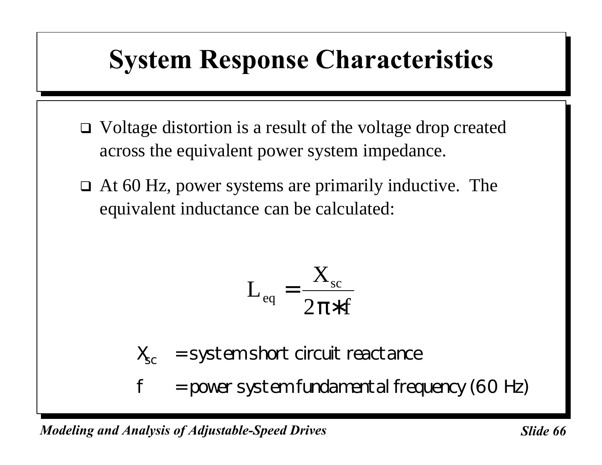## **System Response Characteristics**

- $\Box$  Voltage distortion is a result of the voltage drop created across the equivalent power system impedance.
- $\Box$  At 60 Hz, power systems are primarily inductive. The equivalent inductance can be calculated:

$$
L_{\rm eq} = \frac{X_{\rm sc}}{2\pi * f}
$$

 $X_{\rm sc}$  = system short circuit reactance

 $f = power system fundamental frequency (60 Hz)$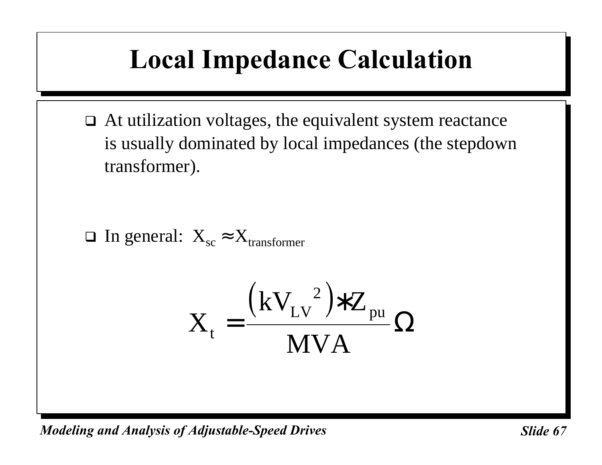# **Local Impedance Calculation**

 $\Box$  At utilization voltages, the equivalent system reactance is usually dominated by local impedances (the stepdown transformer).

 $\Box$  In general:  $X_{\text{sc}} \approx X_{\text{transformer}}$ 

$$
X_t = \frac{(kV_{LV}^2) * Z_{pu}}{MVA} \Omega
$$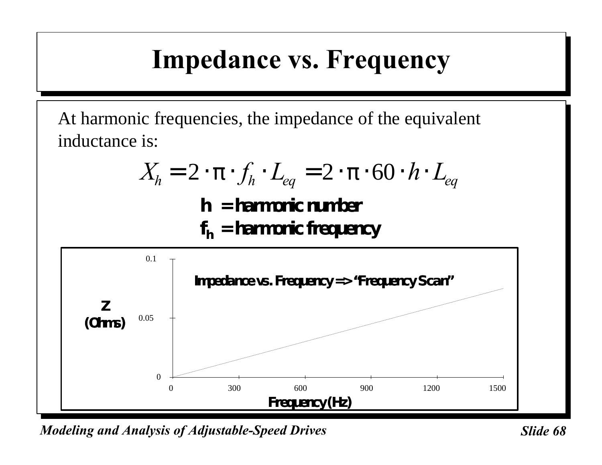### **Impedance vs. Frequency**

At harmonic frequencies, the impedance of the equivalent inductance is:

$$
X_h = 2 \cdot \mathbf{p} \cdot f_h \cdot L_{eq} = 2 \cdot \mathbf{p} \cdot 60 \cdot h \cdot L_{eq}
$$

**h = harmonic number**

**f <sup>h</sup> = harmonic frequency**

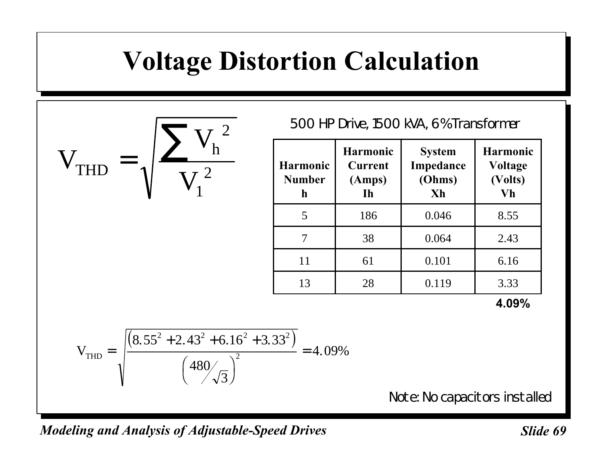### **Voltage Distortion Calculation**

V  $\overline{V}$  $\rm V_1^{-2}$ THD h = ∑ 2 1

500 HP Drive, 1500 kVA, 6% Transformer

| <b>Harmonic</b><br><b>Number</b><br>h | <b>Harmonic</b><br><b>Current</b><br>(Amps)<br><b>Ih</b> | <b>System</b><br>Impedance<br>(Ohms)<br>Xh | <b>Harmonic</b><br><b>Voltage</b><br>(Volts)<br>Vh |
|---------------------------------------|----------------------------------------------------------|--------------------------------------------|----------------------------------------------------|
| 5                                     | 186                                                      | 0.046                                      | 8.55                                               |
|                                       | 38                                                       | 0.064                                      | 2.43                                               |
| 11                                    | 61                                                       | 0.101                                      | 6.16                                               |
| 13                                    | 28                                                       | 0.119                                      | 3.33                                               |

**4.09%**

$$
V_{\text{THD}} = \sqrt{\frac{\left(8.55^2 + 2.43^2 + 6.16^2 + 3.33^2\right)}{\left(480\sqrt{3}\right)^2}} = 4.09\%
$$

Note: No capacitors installed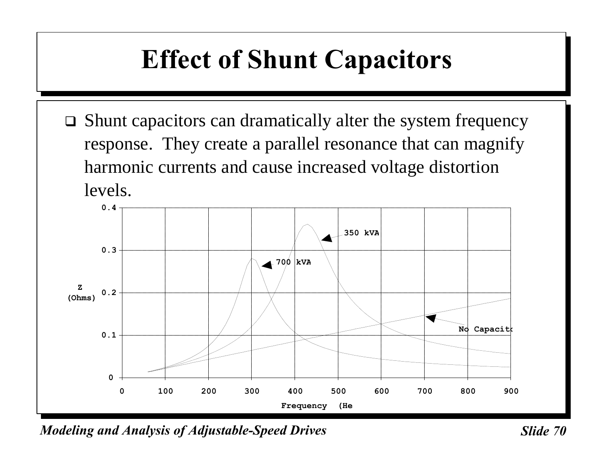# **Effect of Shunt Capacitors**

 $\Box$  Shunt capacitors can dramatically alter the system frequency response. They create a parallel resonance that can magnify harmonic currents and cause increased voltage distortion levels.



*Modeling and Analysis of Adjustable-Speed Drives* Sunner Slide 70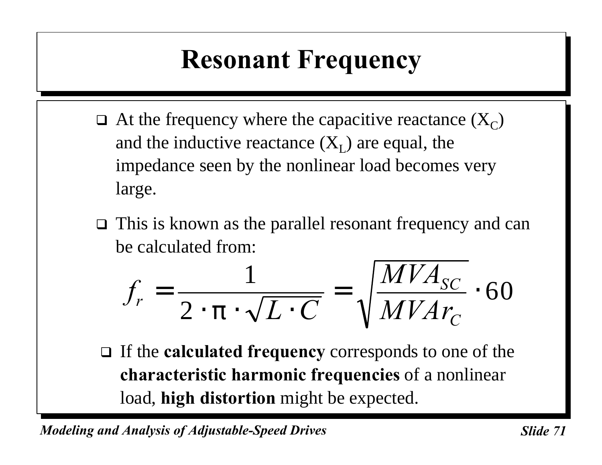# **Resonant Frequency**

- $\Box$  At the frequency where the capacitive reactance  $(X_C)$ and the inductive reactance  $(X_L)$  are equal, the impedance seen by the nonlinear load becomes very large.
- $\Box$  This is known as the parallel resonant frequency and can be calculated from:

$$
f_r = \frac{1}{2 \cdot \mathbf{p} \cdot \sqrt{L \cdot C}} = \sqrt{\frac{MVA_{SC}}{MVAr_C}} \cdot 60
$$

□ If the **calculated frequency** corresponds to one of the **characteristic harmonic frequencies** of a nonlinear load, **high distortion** might be expected.

*Modeling and Analysis of Adjustable-Speed Drives* Sunner Slide 71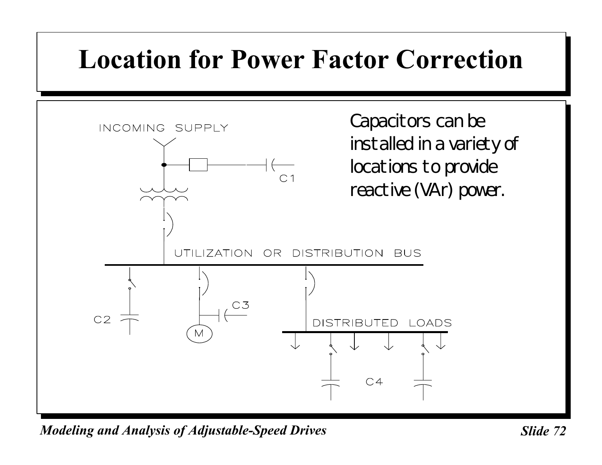## **Location for Power Factor Correction**

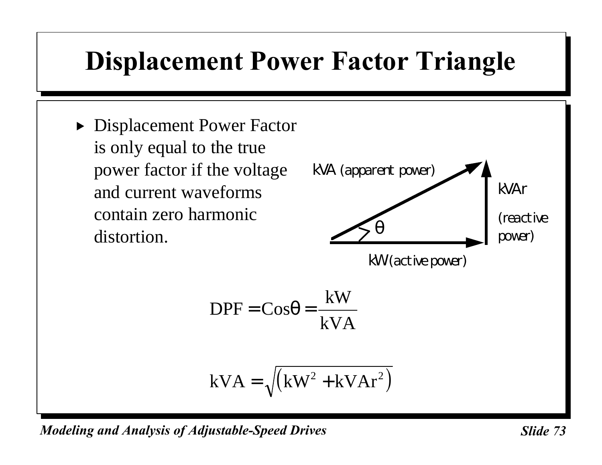# **Displacement Power Factor Triangle**

**Displacement Power Factor** is only equal to the true power factor if the voltage and current waveforms contain zero harmonic distortion.

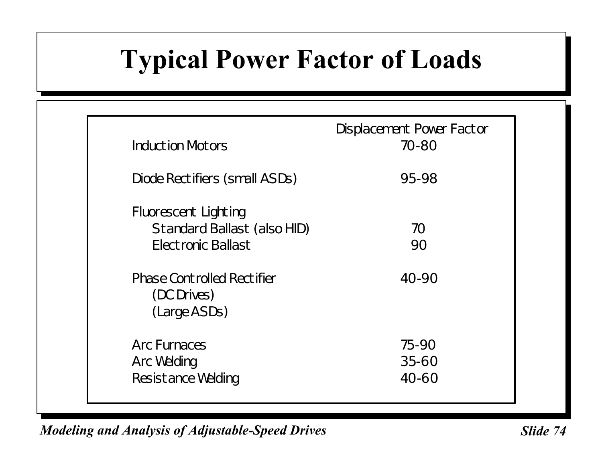# **Typical Power Factor of Loads**

| <b>Induction Motors</b>                                                                 | Displacement Power Factor<br>70-80 |
|-----------------------------------------------------------------------------------------|------------------------------------|
| Diode Rectifiers (small ASDs)                                                           | 95-98                              |
| <b>Fluorescent Lighting</b><br><b>Standard Ballast (also HID)</b><br>Electronic Ballast | 70<br>90                           |
| <b>Phase Controlled Rectifier</b><br>(DC Drives)<br>(Large ASDs)                        | 40-90                              |
| <b>Arc Furnaces</b><br>Arc Welding<br><b>Resistance Welding</b>                         | 75-90<br>$35 - 60$<br>$40 - 60$    |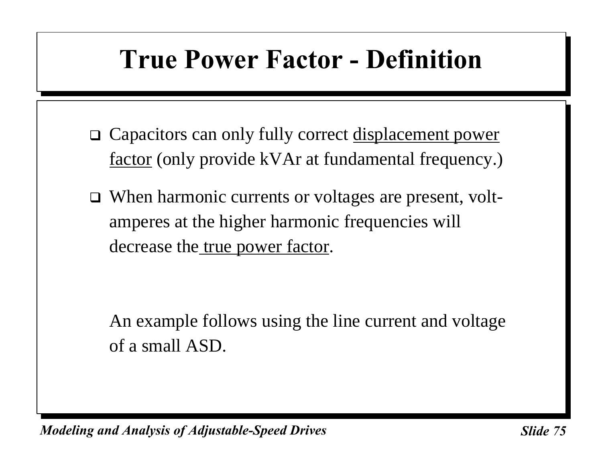### **True Power Factor - Definition**

- □ Capacitors can only fully correct <u>displacement power</u> factor (only provide kVAr at fundamental frequency.)
- $\Box$  When harmonic currents or voltages are present, voltamperes at the higher harmonic frequencies will decrease the <u>true power factor</u>.

An example follows using the line current and voltage of a small ASD.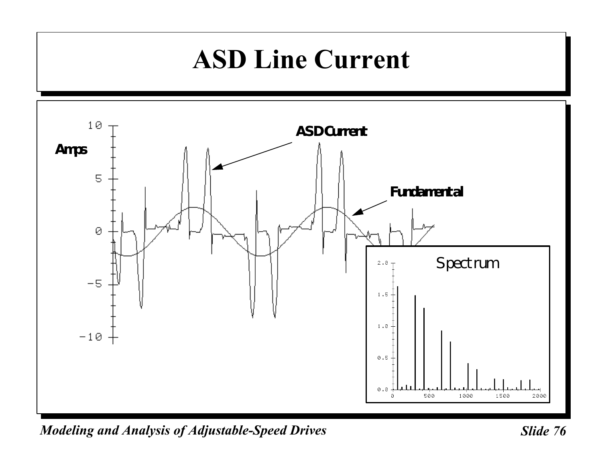### **ASD Line Current**

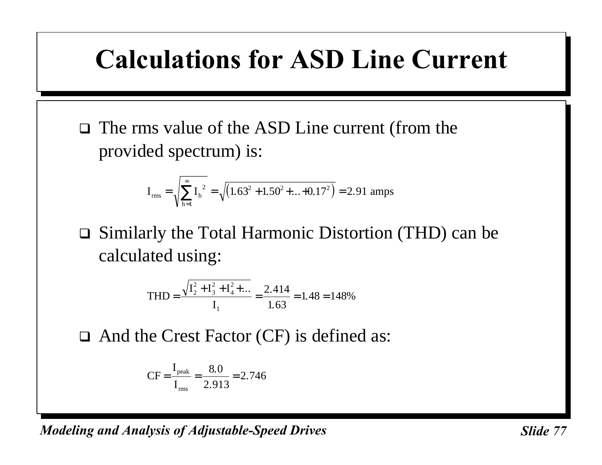### **Calculations for ASD Line Current**

 $\Box$  The rms value of the ASD Line current (from the provided spectrum) is:

$$
I_{\text{rms}} = \sqrt{\sum_{h=1}^{\infty} I_h^2} = \sqrt{(1.63^2 + 1.50^2 + ... + 0.17^2)} = 2.91 \text{ amps}
$$

 $\Box$  Similarly the Total Harmonic Distortion (THD) can be calculated using:

$$
\text{THD} = \frac{\sqrt{I_2^2 + I_3^2 + I_4^2 + \dots}}{I_1} = \frac{2.414}{1.63} = 1.48 = 148\%
$$

 $\Box$  And the Crest Factor (CF) is defined as:

$$
CF = \frac{I_{\text{peak}}}{I_{\text{rms}}} = \frac{8.0}{2.913} = 2.746
$$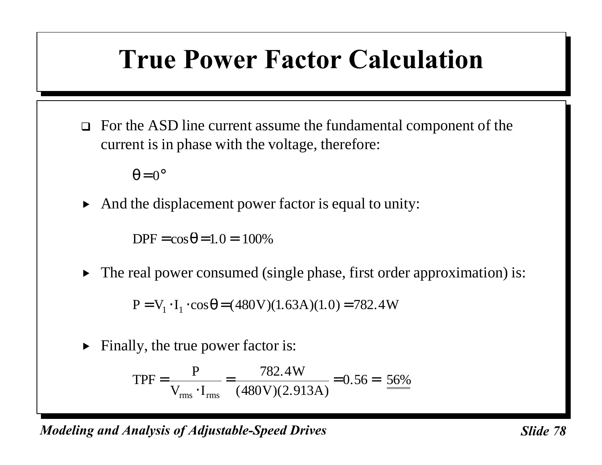### **True Power Factor Calculation**

 $\Box$  For the ASD line current assume the fundamental component of the current is in phase with the voltage, therefore:

 $\theta = 0^{\circ}$ 

 $\blacktriangleright$  And the displacement power factor is equal to unity:

 $DPF = cos \theta = 1.0 = 100\%$ 

 $\triangleright$  The real power consumed (single phase, first order approximation) is:

 $P = V_1 \cdot I_1 \cdot \cos \theta = (480 \text{ V})(1.63 \text{ A})(1.0) = 782.4 \text{ W}$ 

 $\blacktriangleright$  Finally, the true power factor is:

$$
TPF = \frac{P}{V_{\text{rms}} \cdot I_{\text{rms}}} = \frac{782.4 \text{W}}{(480 \text{V})(2.913 \text{A})} = 0.56 = \frac{56\%}{}
$$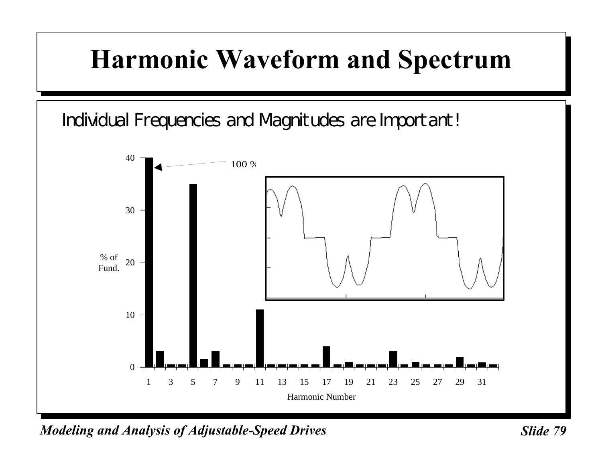### **Harmonic Waveform and Spectrum**

Individual Frequencies and Magnitudes are Important!



*Modeling and Analysis of Adjustable-Speed Drives* State 79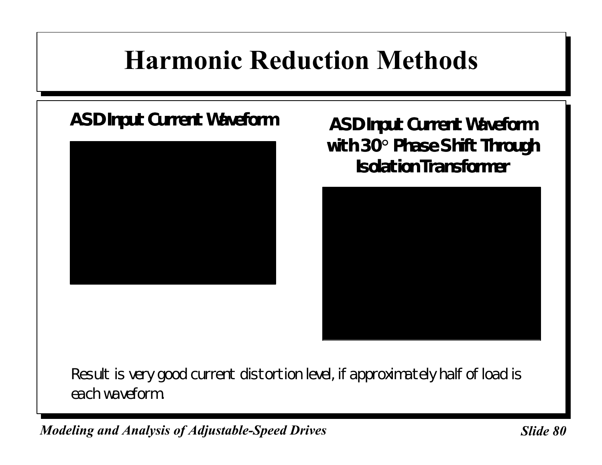# **Harmonic Reduction Methods**



**ASD Input Current Waveform ASD Input Current Waveform with 30° Phase Shift Through Isolation Transformer**

Result is very good current distortion level, if approximately half of load is each waveform.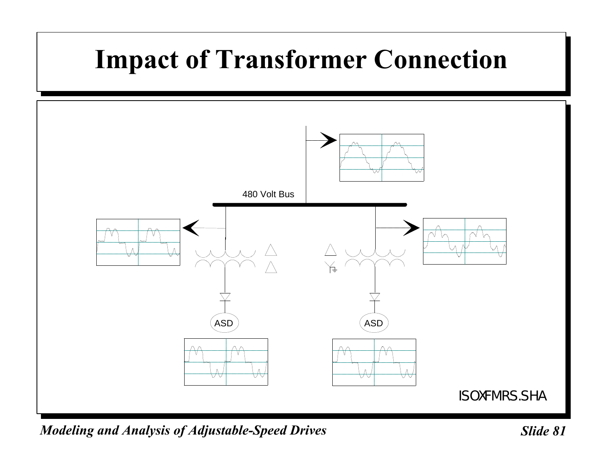# **Impact of Transformer Connection**

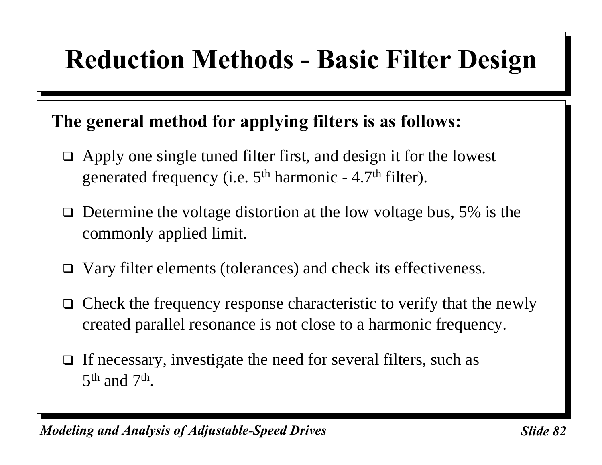### **Reduction Methods - Basic Filter Design**

### **The general method for applying filters is as follows:**

- $\Box$  Apply one single tuned filter first, and design it for the lowest generated frequency (i.e.  $5<sup>th</sup>$  harmonic - 4.7<sup>th</sup> filter).
- $\Box$  Determine the voltage distortion at the low voltage bus, 5% is the commonly applied limit.
- $\Box$  Vary filter elements (tolerances) and check its effectiveness.
- $\Box$  Check the frequency response characteristic to verify that the newly created parallel resonance is not close to a harmonic frequency.
- $\Box$  If necessary, investigate the need for several filters, such as  $5<sup>th</sup>$  and  $7<sup>th</sup>$ .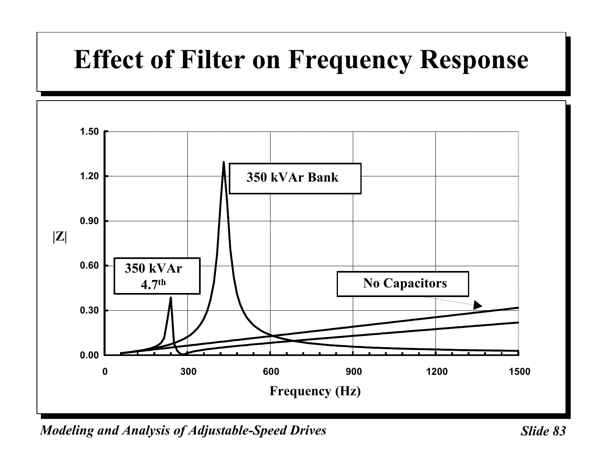# **Effect of Filter on Frequency Response**

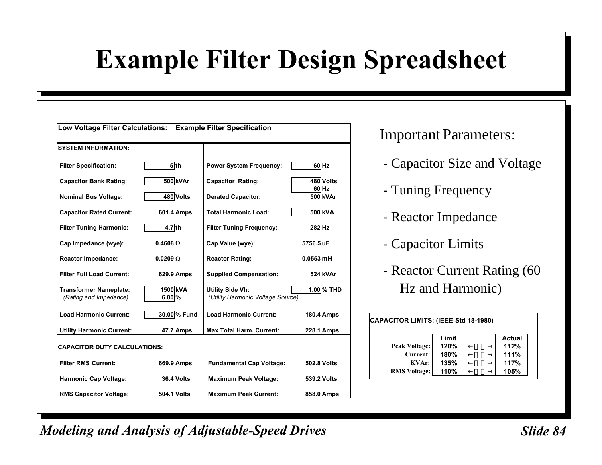# **Example Filter Design Spreadsheet**

| Low Voltage Filter Calculations: Example Filter Specification |                      |                                                       |                   |
|---------------------------------------------------------------|----------------------|-------------------------------------------------------|-------------------|
| <b>SYSTEM INFORMATION:</b>                                    |                      |                                                       |                   |
| <b>Filter Specification:</b>                                  | $5$ th               | <b>Power System Frequency:</b>                        | 60 Hz             |
| <b>Capacitor Bank Rating:</b>                                 | 500 kVAr             | <b>Capacitor Rating:</b>                              | 480 Volts         |
| <b>Nominal Bus Voltage:</b>                                   | 480 Volts            | <b>Derated Capacitor:</b>                             | 60 Hz<br>500 kVAr |
| <b>Capacitor Rated Current:</b>                               | 601.4 Amps           | <b>Total Harmonic Load:</b>                           | 500 kVA           |
| <b>Filter Tuning Harmonic:</b>                                | $4.7$ th             | <b>Filter Tuning Frequency:</b>                       | 282 Hz            |
| Cap Impedance (wye):                                          | $0.4608$ W           | Cap Value (wye):                                      | 5756.5 uF         |
| <b>Reactor Impedance:</b>                                     | 0.0209 W             | <b>Reactor Rating:</b>                                | $0.0553$ mH       |
| <b>Filter Full Load Current:</b>                              | 629.9 Amps           | <b>Supplied Compensation:</b>                         | 524 kVAr          |
| <b>Transformer Nameplate:</b><br>(Rating and Impedance)       | 1500 kVA<br>$6.00\%$ | Utility Side Vh:<br>(Utility Harmonic Voltage Source) | $1.00\%$ THD      |
| <b>Load Harmonic Current:</b>                                 | 30.00 % Fund         | <b>Load Harmonic Current:</b>                         | <b>180.4 Amps</b> |
| <b>Utility Harmonic Current:</b>                              | 47.7 Amps            | <b>Max Total Harm. Current:</b>                       | <b>228.1 Amps</b> |
| <b>CAPACITOR DUTY CALCULATIONS:</b>                           |                      |                                                       |                   |
| <b>Filter RMS Current:</b>                                    | 669.9 Amps           | <b>Fundamental Cap Voltage:</b>                       | 502.8 Volts       |
| <b>Harmonic Cap Voltage:</b>                                  | <b>36.4 Volts</b>    | <b>Maximum Peak Voltage:</b>                          | 539.2 Volts       |
| <b>RMS Capacitor Voltage:</b>                                 | <b>504.1 Volts</b>   | <b>Maximum Peak Current:</b>                          | 858.0 Amps        |

#### Important Parameters:

- Capacitor Size and Voltage
- Tuning Frequency
- Reactor Impedance
- Capacitor Limits
- Reactor Current Rating (60 Hz and Harmonic)

| CAPACITOR LIMITS: (IEEE Std 18-1980) |      |  |      |  |  |  |  |  |  |
|--------------------------------------|------|--|------|--|--|--|--|--|--|
| Limit<br><b>Actual</b>               |      |  |      |  |  |  |  |  |  |
| <b>Peak Voltage:</b>                 | 120% |  | 112% |  |  |  |  |  |  |
| Current:                             | 180% |  | 111% |  |  |  |  |  |  |
| KVar:                                | 135% |  | 117% |  |  |  |  |  |  |
| <b>RMS Voltage:</b>                  | 110% |  | 105% |  |  |  |  |  |  |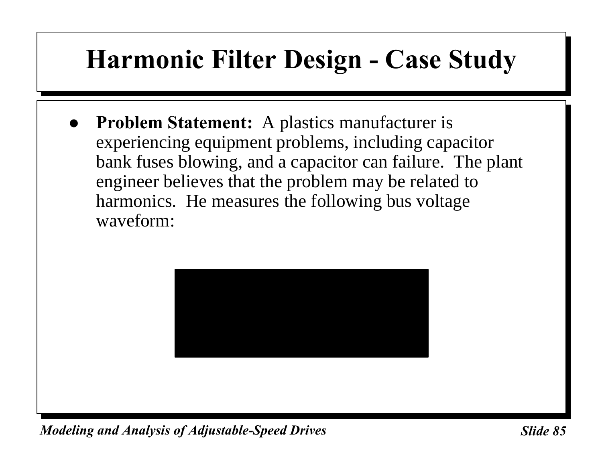### **Harmonic Filter Design - Case Study**

& **Problem Statement:** A plastics manufacturer is experiencing equipment problems, including capacitor bank fuses blowing, and a capacitor can failure. The plant engineer believes that the problem may be related to harmonics. He measures the following bus voltage waveform:

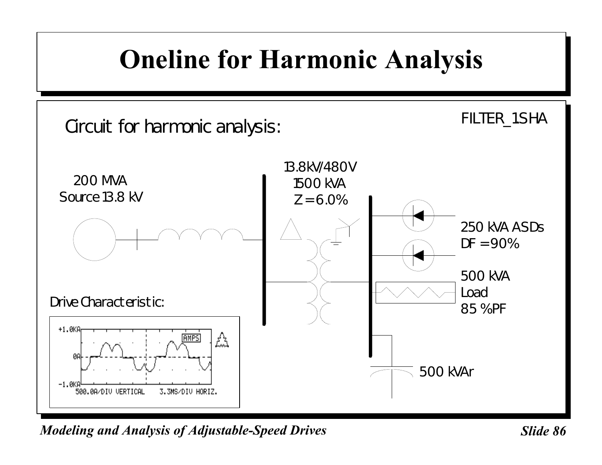### **Oneline for Harmonic Analysis**

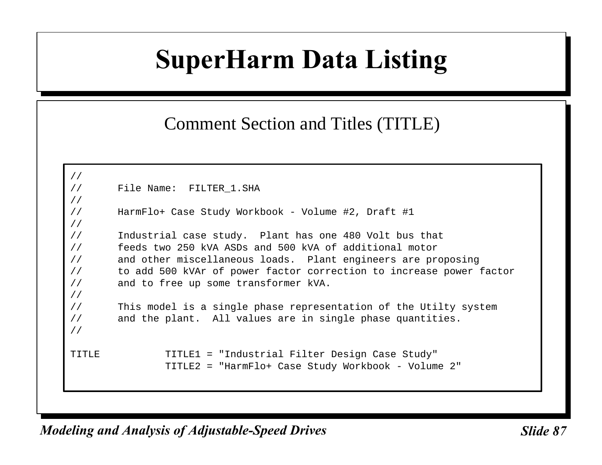### **SuperHarm Data Listing**

#### Comment Section and Titles (TITLE)

```
//
// File Name: FILTER_1.SHA
//
// HarmFlo+ Case Study Workbook - Volume #2, Draft #1
//
// Industrial case study. Plant has one 480 Volt bus that
// feeds two 250 kVA ASDs and 500 kVA of additional motor
// and other miscellaneous loads. Plant engineers are proposing
// to add 500 kVAr of power factor correction to increase power factor
// and to free up some transformer kVA.
//
// This model is a single phase representation of the Utilty system
// and the plant. All values are in single phase quantities.
//
TITLE TITLE1 = "Industrial Filter Design Case Study"
               TITLE2 = "HarmFlo+ Case Study Workbook - Volume 2"
```
*Modeling and Analysis of Adjustable-Speed Drives* Sunner Slide 87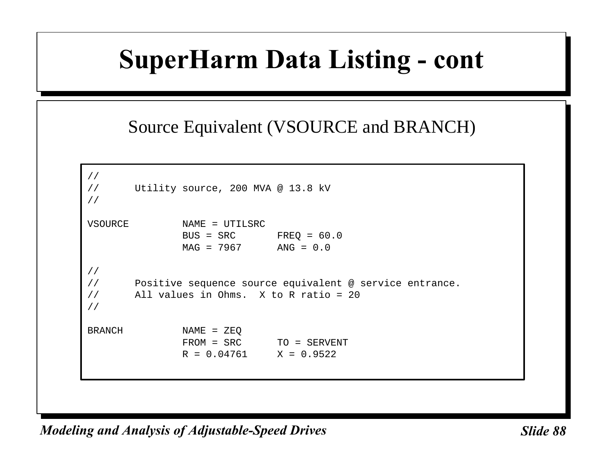### Source Equivalent (VSOURCE and BRANCH)

```
//
// Utility source, 200 MVA @ 13.8 kV
//
VSOURCE NAME = UTILSRC
             BUS = SRC FREO = 60.0MAG = 7967 ANG = 0.0//
// Positive sequence source equivalent @ service entrance.
// All values in Ohms. X to R ratio = 20
//
BRANCH NAME = ZEQ
             FROM = SRC TO = SERVENT
             R = 0.04761 X = 0.9522
```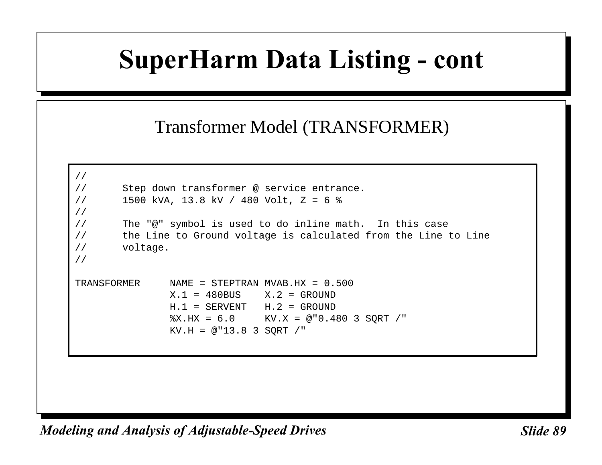#### Transformer Model (TRANSFORMER)

```
//
// Step down transformer @ service entrance.
// 1500 kVA, 13.8 kV / 480 Volt, Z = 6 %
//
// The "@" symbol is used to do inline math. In this case
// the Line to Ground voltage is calculated from the Line to Line
// voltage.
//
TRANSFORMER NAME = STEPTRAN MVAB.HX = 0.500
              X.1 = 480BUS X.2 = GROUND
              H.1 = SERVENT H.2 = GROUND
               %X.HX = 6.0 KV.X = @"0.480 3 SQRT /"
              KV.H = @ "13.8 3 SORT / "
```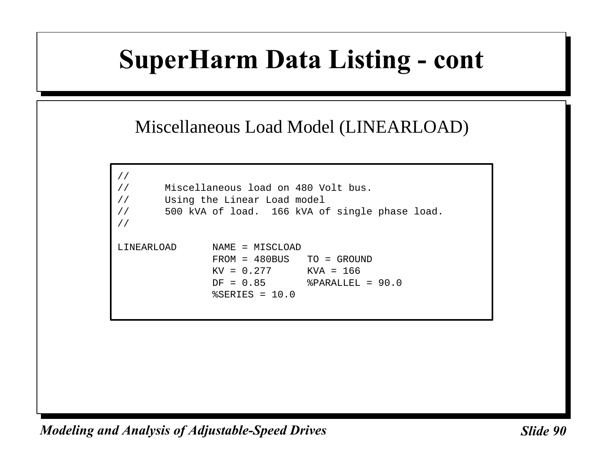#### Miscellaneous Load Model (LINEARLOAD)

```
//
// Miscellaneous load on 480 Volt bus.
// Using the Linear Load model
// 500 kVA of load. 166 kVA of single phase load.
//
LINEARLOAD NAME = MISCLOAD
               FROM = 480BUS TO = GROUND
              KV = 0.277 KVA = 166 DF = 0.85 %PARALLEL = 90.0
              \SSERIES = 10.0
```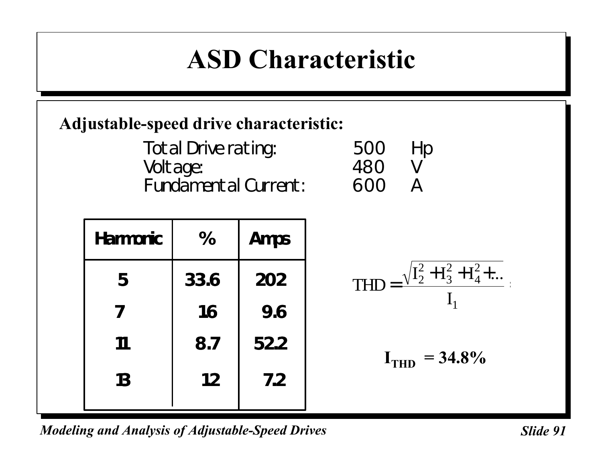### **ASD Characteristic**

### **Adjustable-speed drive characteristic:**

| Total Drive rating:         | 500 Hp |                |
|-----------------------------|--------|----------------|
| Voltage:                    | 480    | V              |
| <b>Fundamental Current:</b> | 600    | $\overline{A}$ |

| <b>Harmonic</b> | %    | <b>Amps</b> |                                                 |
|-----------------|------|-------------|-------------------------------------------------|
| 5               | 33.6 | 202         | $\sqrt{I_2^2 + I_3^2 + I_4^2 + }$<br><b>THD</b> |
|                 | 1.6  | 9.6         |                                                 |
| 11              | 8.7  | 52.2        | $= 34.8\%$<br>I <sub>THD</sub>                  |
| 13              | 1.2  | 7.2         |                                                 |
|                 |      |             |                                                 |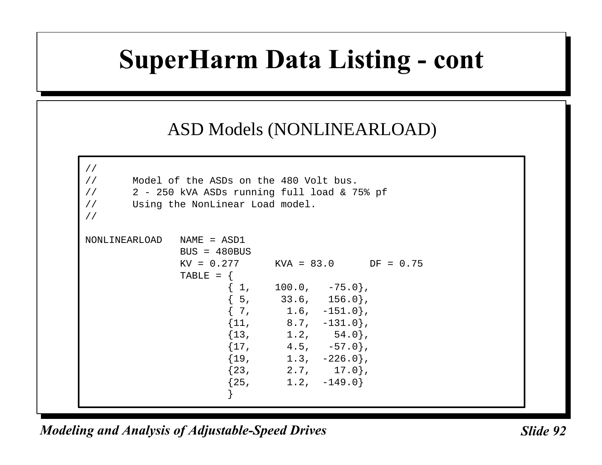#### ASD Models (NONLINEARLOAD)

```
//
// Model of the ASDs on the 480 Volt bus.
1/ 2 - 250 kVA ASDs running full load & 75% pf
// Using the NonLinear Load model.
//
NONLINEARLOAD NAME = ASD1
            BUS = 480 BUS
            KV = 0.277 KVA = 83.0 DF = 0.75TABLE = \{{1, 100.0, -75.0},{5, 33.6, 156.0},\left\{ \begin{array}{ccc} 7 \, , & \phantom{0} & 1.6 \, , & \phantom{-} & -151.0 \, \end{array} \right\} \, ,\{11, 8.7, -131.0\},
\{13, 1.2, 54.0\}\{17, 4.5, -57.0\},
\{19, \qquad \quad \  \  1.3, \quad -226.0\} ,
\{23, 2.7, 17.0\}\{25, 1.2, -149.0\} }
```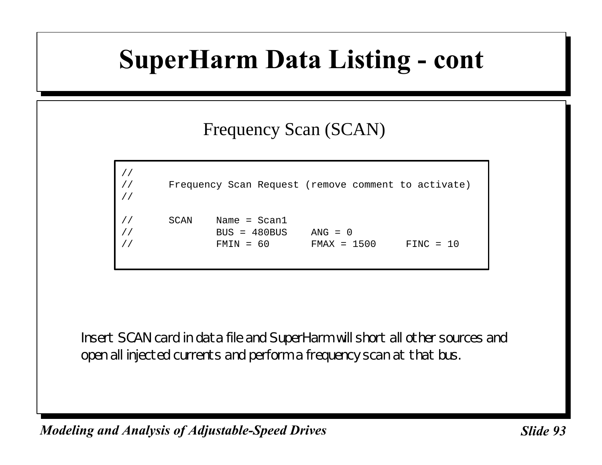### Frequency Scan (SCAN)

```
//
// Frequency Scan Request (remove comment to activate)
//
// SCAN Name = Scan1
// BUS = 480BUS ANG = 0
// FMIN = 60 FMAX = 1500 FINC = 10
```
Insert SCAN card in data file and SuperHarm will short all other sources and open all injected currents and perform a frequency scan at that bus.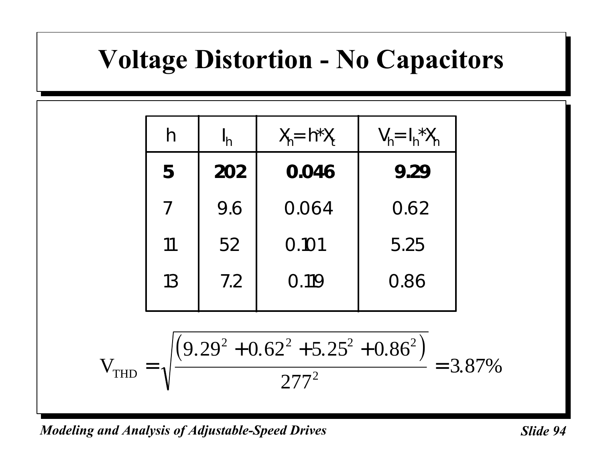### **Voltage Distortion - No Capacitors**

| h  | $I_h$ | $X_h = h^*X_t$ | $V_h = I_h^* X_h$ |
|----|-------|----------------|-------------------|
| 5  | 202   | 0.046          | 9.29              |
| 7  | 9.6   | 0.064          | 0.62              |
| 11 | 52    | 0.101          | 5.25              |
| 13 | 7.2   | 0.119          | 0.86              |

$$
V_{THD} = \sqrt{\frac{(9.29^{2} + 0.62^{2} + 5.25^{2} + 0.86^{2})}{277^{2}}} = 3.87\%
$$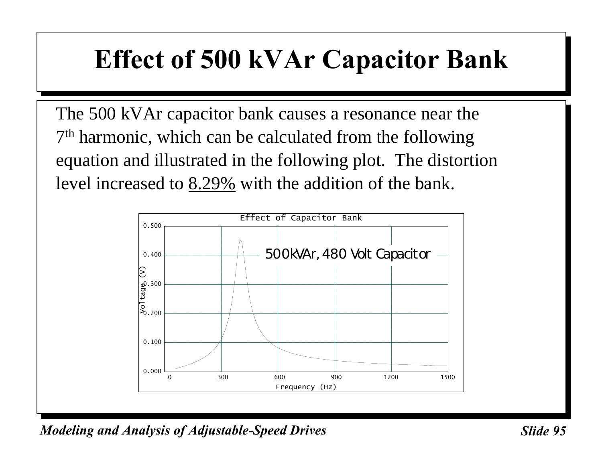### **Effect of 500 kVAr Capacitor Bank**

The 500 kVAr capacitor bank causes a resonance near the 7<sup>th</sup> harmonic, which can be calculated from the following equation and illustrated in the following plot. The distortion level increased to 8.29% with the addition of the bank.

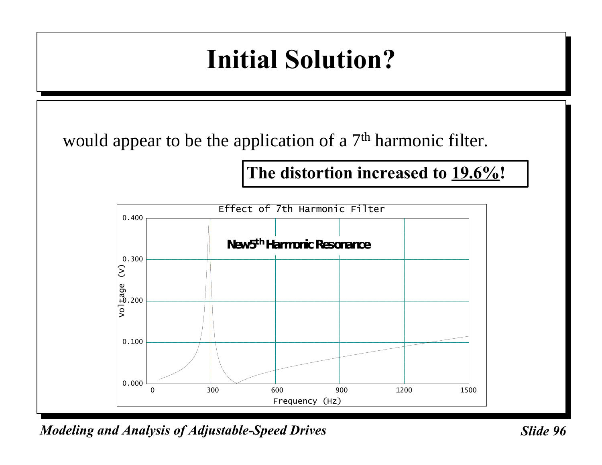### **Initial Solution?**

would appear to be the application of a 7<sup>th</sup> harmonic filter.

**The distortion increased to 19.6%!**

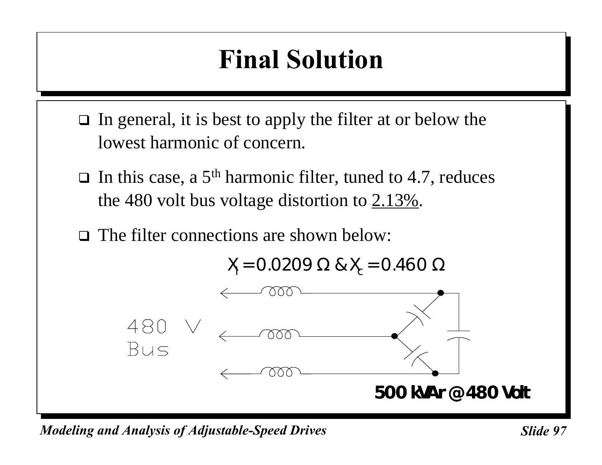# **Final Solution**

- $\Box$  In general, it is best to apply the filter at or below the lowest harmonic of concern.
- $\Box$  In this case, a 5<sup>th</sup> harmonic filter, tuned to 4.7, reduces the 480 volt bus voltage distortion to 2.13%.
- $\Box$  The filter connections are shown below:

$$
X_{I} = 0.0209 \Omega \& X_{c} = 0.460 \Omega
$$



*Modeling and Analysis of Adjustable-Speed Drives* Sunner Slide 97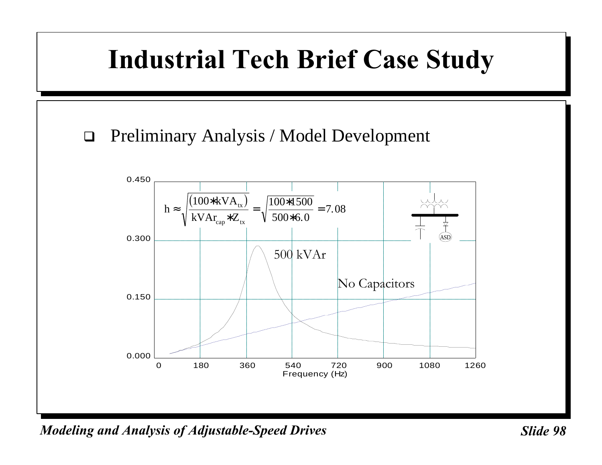# **Industrial Tech Brief Case Study**

 $\Box$  Preliminary Analysis / Model Development

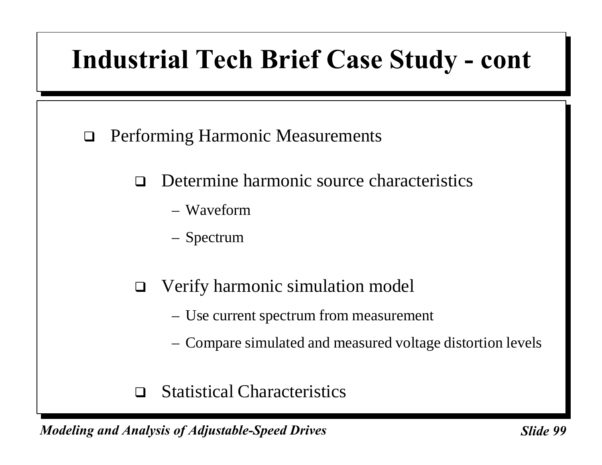### **Industrial Tech Brief Case Study - cont**

- $\Box$  Performing Harmonic Measurements
	- $\Box$  Determine harmonic source characteristics
		- Waveform
		- Spectrum
	- $\Box$  Verify harmonic simulation model
		- Use current spectrum from measurement
		- Compare simulated and measured voltage distortion levels
	- $\Box$  Statistical Characteristics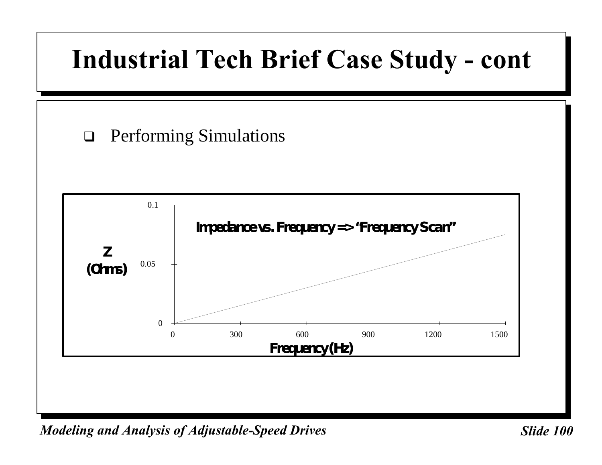### **Industrial Tech Brief Case Study - cont**

### $\Box$  Performing Simulations

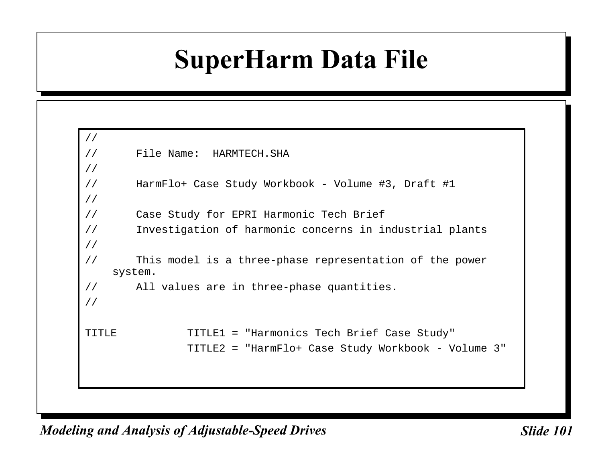### **SuperHarm Data File**

```
//
// File Name: HARMTECH.SHA
//
// HarmFlo+ Case Study Workbook - Volume #3, Draft #1
//
// Case Study for EPRI Harmonic Tech Brief
// Investigation of harmonic concerns in industrial plants
//
// This model is a three-phase representation of the power
   system.
// All values are in three-phase quantities.
//
TITLE TITLE1 = "Harmonics Tech Brief Case Study"
               TITLE2 = "HarmFlo+ Case Study Workbook - Volume 3"
```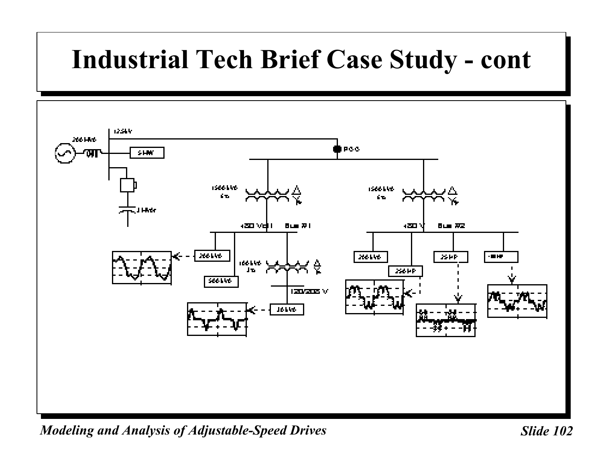### **Industrial Tech Brief Case Study - cont**

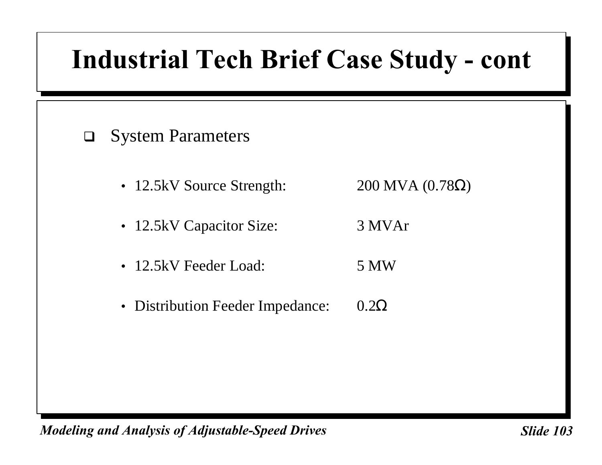### **Industrial Tech Brief Case Study - cont**

#### $\Box$  System Parameters

- 12.5kV Source Strength:  $200 \text{ MVA} (0.78 \Omega)$
- 12.5kV Capacitor Size: 3 MVAr
- 12.5kV Feeder Load: 5 MW
- Distribution Feeder Impedance: 0.2Ω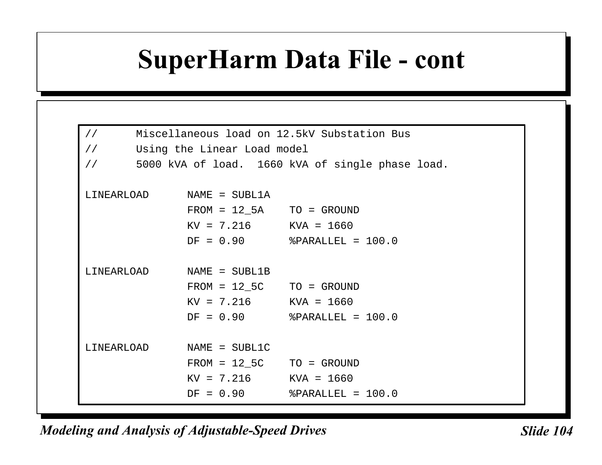### **SuperHarm Data File - cont**

| Miscellaneous load on 12.5kV Substation Bus<br>$\frac{1}{2}$      |                             |                               |  |  |  |  |  |  |  |
|-------------------------------------------------------------------|-----------------------------|-------------------------------|--|--|--|--|--|--|--|
| $\frac{1}{2}$                                                     | Using the Linear Load model |                               |  |  |  |  |  |  |  |
| 5000 kVA of load. 1660 kVA of single phase load.<br>$\frac{1}{2}$ |                             |                               |  |  |  |  |  |  |  |
|                                                                   |                             |                               |  |  |  |  |  |  |  |
|                                                                   | LINEARLOAD NAME = SUBL1A    |                               |  |  |  |  |  |  |  |
|                                                                   | $FROM = 12_5A$ TO = GROUND  |                               |  |  |  |  |  |  |  |
|                                                                   | $KV = 7.216$ $KVA = 1660$   |                               |  |  |  |  |  |  |  |
|                                                                   |                             | $DF = 0.90$ %PARALLEL = 100.0 |  |  |  |  |  |  |  |
|                                                                   |                             |                               |  |  |  |  |  |  |  |
|                                                                   | LINEARLOAD NAME = SUBL1B    |                               |  |  |  |  |  |  |  |
|                                                                   | $FROM = 12\_5C$ TO = GROUND |                               |  |  |  |  |  |  |  |
|                                                                   | $KV = 7.216$ $KVA = 1660$   |                               |  |  |  |  |  |  |  |
|                                                                   |                             | $DF = 0.90$ %PARALLEL = 100.0 |  |  |  |  |  |  |  |
|                                                                   |                             |                               |  |  |  |  |  |  |  |
| LINEARLOAD                                                        | $NAME = SUBL1C$             |                               |  |  |  |  |  |  |  |
|                                                                   | $FROM = 12\_5C$ TO = GROUND |                               |  |  |  |  |  |  |  |
|                                                                   | $KV = 7.216$ $KVA = 1660$   |                               |  |  |  |  |  |  |  |
|                                                                   |                             | $DF = 0.90$ %PARALLEL = 100.0 |  |  |  |  |  |  |  |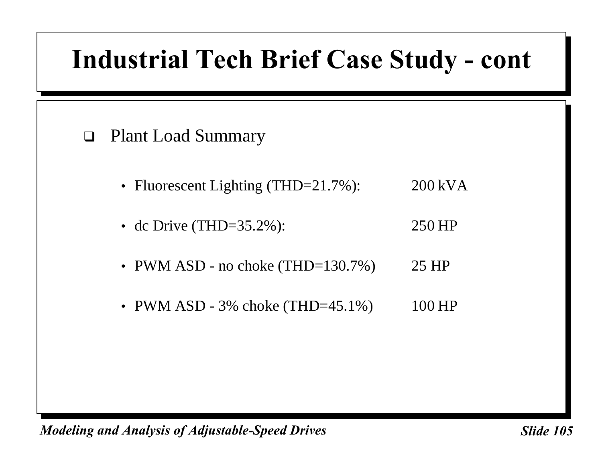### **Industrial Tech Brief Case Study - cont**

#### □ Plant Load Summary

- Fluorescent Lighting (THD=21.7%): 200 kVA
- dc Drive (THD=35.2%): 250 HP
- PWM ASD no choke  $(THD=130.7%)$  25 HP
- PWM ASD 3% choke (THD=45.1%) 100 HP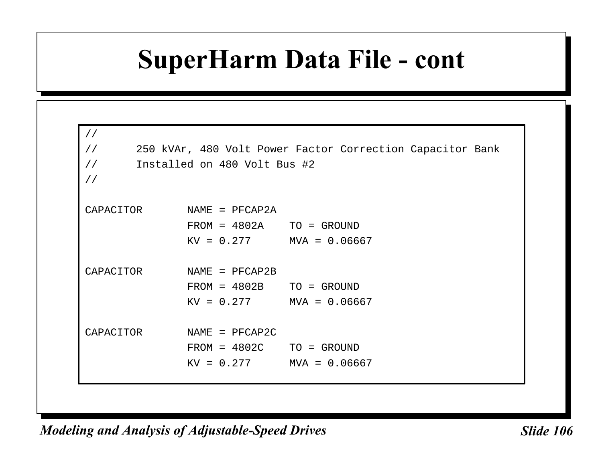### **SuperHarm Data File - cont**

| $\frac{1}{2}$ |                              |                                                           |
|---------------|------------------------------|-----------------------------------------------------------|
| $\frac{1}{2}$ |                              | 250 kVAr, 480 Volt Power Factor Correction Capacitor Bank |
| $\frac{1}{2}$ | Installed on 480 Volt Bus #2 |                                                           |
| $\frac{1}{2}$ |                              |                                                           |
|               |                              |                                                           |
| CAPACITOR     | NAME = PFCAP2A               |                                                           |
|               | $FROM = 4802A$ TO = GROUND   |                                                           |
|               | $KV = 0.277$ MVA = 0.06667   |                                                           |
|               |                              |                                                           |
| CAPACITOR     | $NAME = PFCAP2B$             |                                                           |
|               | $FROM = 4802B$ TO = GROUND   |                                                           |
|               | $KV = 0.277$ MVA = 0.06667   |                                                           |
|               |                              |                                                           |
| CAPACITOR     | $NAME = PFCAP2C$             |                                                           |
|               | $FROM = 4802C$ TO = GROUND   |                                                           |
|               | $KV = 0.277$ MVA = 0.06667   |                                                           |
|               |                              |                                                           |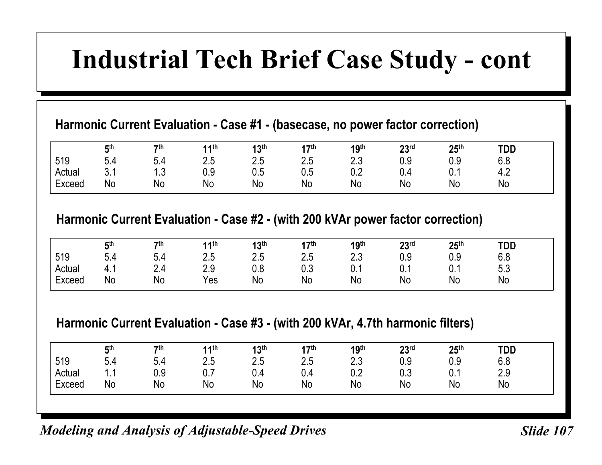### **Industrial Tech Brief Case Study - cont**

#### **Harmonic Current Evaluation - Case #1 - (basecase, no power factor correction)**

|        | <b>Ath</b>      | 7 <sup>th</sup>        | <b>11th</b> | 13 <sup>th</sup> | 17 <sup>th</sup><br>. .  | 19 <sup>th</sup> | 23 <sup>rd</sup> | 25 <sup>th</sup> | <b>TDD</b>    |  |
|--------|-----------------|------------------------|-------------|------------------|--------------------------|------------------|------------------|------------------|---------------|--|
| 519    | 0.4             | 5.4                    | 2.5         | つに<br>ں.ے        | $\Omega$ $\Gamma$<br>2.5 | ר ר<br>ں.ے       | 0.9              | 0.9              | 6.8           |  |
| Actual | $\Omega$<br>∪.⊥ | 12<br>$\cdot$ . $\cup$ | 0.9         | 0.5              | υ.υ                      | 0.2              | 0.4              | υ. ι             | $\sim$<br>4.2 |  |
| Exceed | No              | No                     | <b>No</b>   | No               | No                       | No               | <b>No</b>        | No               | No            |  |

#### **Harmonic Current Evaluation - Case #2 - (with 200 kVAr power factor correction)**

|        | <b>兵th</b> | 7 <sup>th</sup> | 14th              | 12th<br>טו | <b>17th</b><br>. . | 19 <sup>th</sup> | 22rd<br>LJ | 25 <sup>th</sup> | TDD        |  |
|--------|------------|-----------------|-------------------|------------|--------------------|------------------|------------|------------------|------------|--|
| 519    | 5.4        | 5.4             | $\Omega E$<br>ں.ے | クド<br>ں.ے  | 2.5                | n n<br>ں.ے       | 0.9        | 0.9              | 6.8        |  |
| Actual | 4. .       | 2.4             | 20<br>z.J         | 0.8        | 0.3                | ሰ ላ<br>v. i      | 0.1        | <b>U.</b>        | 5 Z<br>ບ.ບ |  |
| Exceed | <b>No</b>  | No              | $v_{es}$          | <b>No</b>  | No                 | No               | <b>No</b>  | No               | No         |  |

#### **Harmonic Current Evaluation - Case #3 - (with 200 kVAr, 4.7th harmonic filters)**

|        | <b>兵th</b><br>J | 7 <sup>th</sup> | <b>11th</b>          | 13 <sup>th</sup>        | <b>47th</b><br>., | 19 <sup>th</sup> | 23 <sup>rd</sup> | 25 <sup>th</sup> | <b>TDD</b> |  |
|--------|-----------------|-----------------|----------------------|-------------------------|-------------------|------------------|------------------|------------------|------------|--|
| 519    | 5.4             | 5.4             | つに<br>ں.ے            | $\cap$ $\Gamma$<br>ں ،ے | 2.5               | כ ר<br>ں.ے       | 0.9              | 0.9              | 6.8        |  |
| Actual | .               | n a<br>∪.ບ      | $\sim$ $\sim$<br>ν.ι | v.4                     | 0.4               | 0.2              | 0.3              | ∩ 1<br>v. I      | 2.9        |  |
| Exceed | No              | No              | No                   | No                      | No                | No               | <b>No</b>        | No               | No         |  |